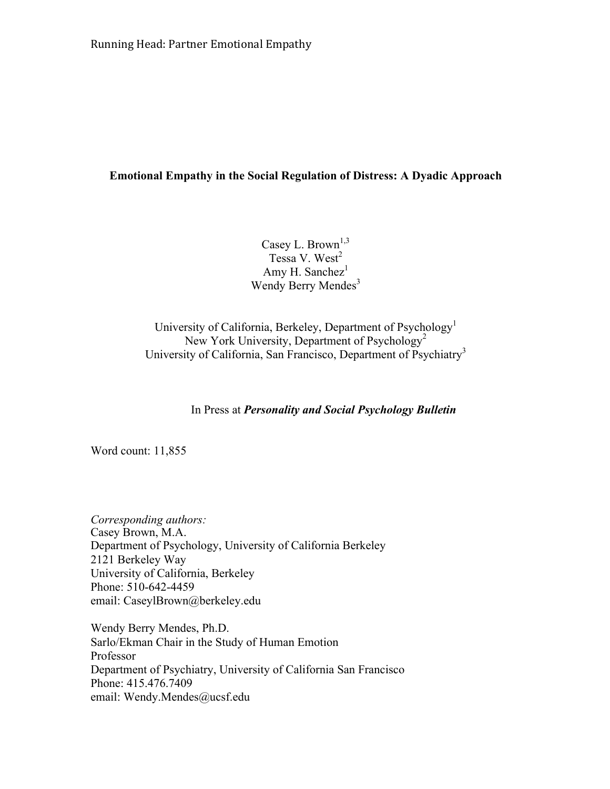# **Emotional Empathy in the Social Regulation of Distress: A Dyadic Approach**

Casey L. Brown<sup>1,3</sup> Tessa V. West<sup>2</sup> Amy H. Sanchez $<sup>1</sup>$ </sup> Wendy Berry Mendes<sup>3</sup>

University of California, Berkeley, Department of Psychology<sup>1</sup> New York University, Department of Psychology<sup>2</sup> University of California, San Francisco, Department of Psychiatry<sup>3</sup>

In Press at *Personality and Social Psychology Bulletin* 

Word count: 11,855

*Corresponding authors:*  Casey Brown, M.A. Department of Psychology, University of California Berkeley 2121 Berkeley Way University of California, Berkeley Phone: 510-642-4459 email: CaseylBrown@berkeley.edu

Wendy Berry Mendes, Ph.D. Sarlo/Ekman Chair in the Study of Human Emotion Professor Department of Psychiatry, University of California San Francisco Phone: 415.476.7409 email: Wendy.Mendes@ucsf.edu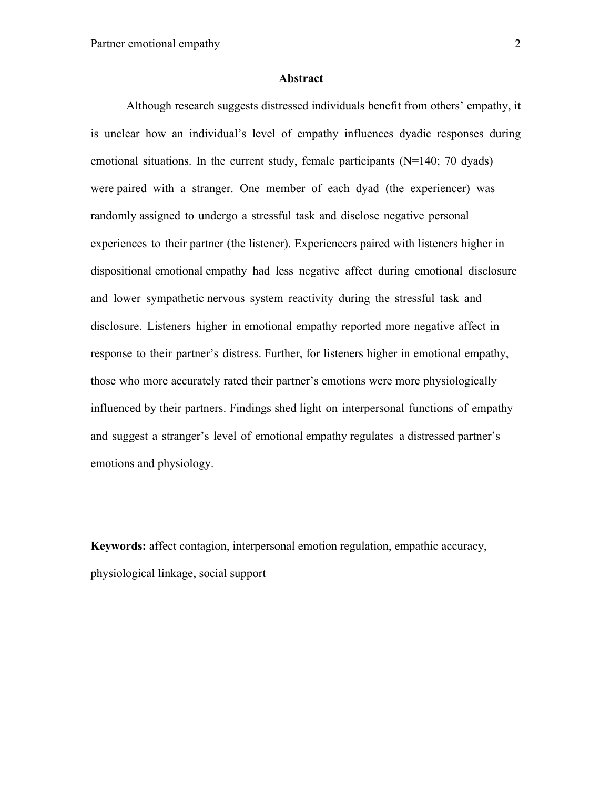#### **Abstract**

Although research suggests distressed individuals benefit from others' empathy, it is unclear how an individual's level of empathy influences dyadic responses during emotional situations. In the current study, female participants (N=140; 70 dyads) were paired with a stranger. One member of each dyad (the experiencer) was randomly assigned to undergo a stressful task and disclose negative personal experiences to their partner (the listener). Experiencers paired with listeners higher in dispositional emotional empathy had less negative affect during emotional disclosure and lower sympathetic nervous system reactivity during the stressful task and disclosure. Listeners higher in emotional empathy reported more negative affect in response to their partner's distress. Further, for listeners higher in emotional empathy, those who more accurately rated their partner's emotions were more physiologically influenced by their partners. Findings shed light on interpersonal functions of empathy and suggest a stranger's level of emotional empathy regulates a distressed partner's emotions and physiology.

**Keywords:** affect contagion, interpersonal emotion regulation, empathic accuracy, physiological linkage, social support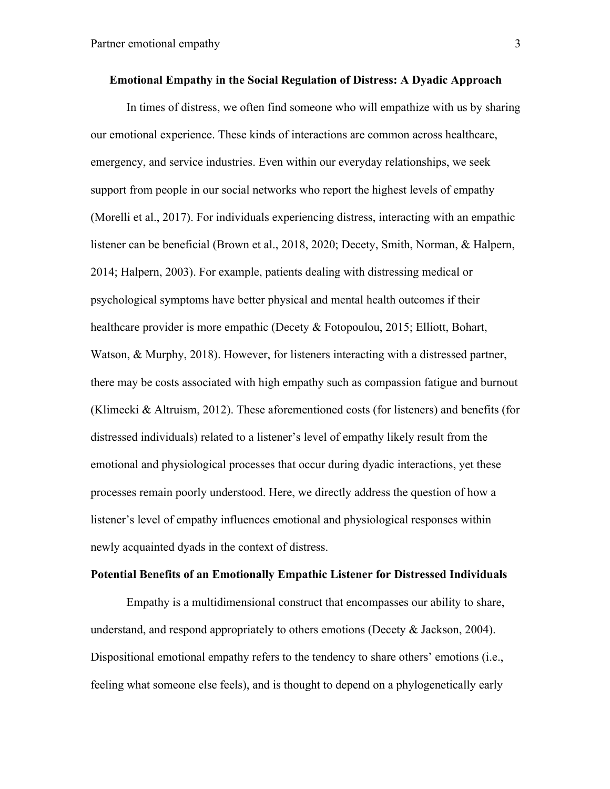In times of distress, we often find someone who will empathize with us by sharing our emotional experience. These kinds of interactions are common across healthcare, emergency, and service industries. Even within our everyday relationships, we seek support from people in our social networks who report the highest levels of empathy (Morelli et al., 2017). For individuals experiencing distress, interacting with an empathic listener can be beneficial (Brown et al., 2018, 2020; Decety, Smith, Norman, & Halpern, 2014; Halpern, 2003). For example, patients dealing with distressing medical or psychological symptoms have better physical and mental health outcomes if their healthcare provider is more empathic (Decety & Fotopoulou, 2015; Elliott, Bohart, Watson, & Murphy, 2018). However, for listeners interacting with a distressed partner, there may be costs associated with high empathy such as compassion fatigue and burnout (Klimecki & Altruism, 2012). These aforementioned costs (for listeners) and benefits (for distressed individuals) related to a listener's level of empathy likely result from the emotional and physiological processes that occur during dyadic interactions, yet these processes remain poorly understood. Here, we directly address the question of how a listener's level of empathy influences emotional and physiological responses within newly acquainted dyads in the context of distress.

## **Potential Benefits of an Emotionally Empathic Listener for Distressed Individuals**

Empathy is a multidimensional construct that encompasses our ability to share, understand, and respond appropriately to others emotions (Decety & Jackson, 2004). Dispositional emotional empathy refers to the tendency to share others' emotions (i.e., feeling what someone else feels), and is thought to depend on a phylogenetically early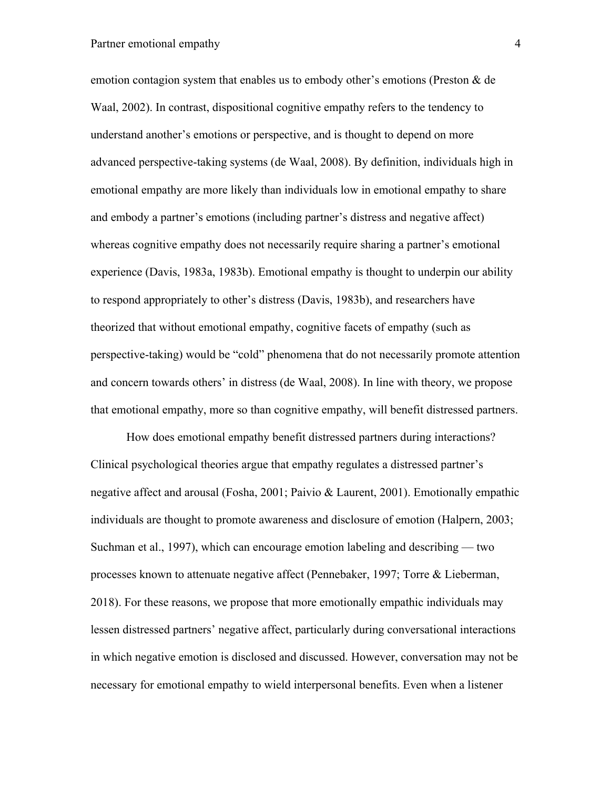# Partner emotional empathy 4

emotion contagion system that enables us to embody other's emotions (Preston & de Waal, 2002). In contrast, dispositional cognitive empathy refers to the tendency to understand another's emotions or perspective, and is thought to depend on more advanced perspective-taking systems (de Waal, 2008). By definition, individuals high in emotional empathy are more likely than individuals low in emotional empathy to share and embody a partner's emotions (including partner's distress and negative affect) whereas cognitive empathy does not necessarily require sharing a partner's emotional experience (Davis, 1983a, 1983b). Emotional empathy is thought to underpin our ability to respond appropriately to other's distress (Davis, 1983b), and researchers have theorized that without emotional empathy, cognitive facets of empathy (such as perspective-taking) would be "cold" phenomena that do not necessarily promote attention and concern towards others' in distress (de Waal, 2008). In line with theory, we propose that emotional empathy, more so than cognitive empathy, will benefit distressed partners.

How does emotional empathy benefit distressed partners during interactions? Clinical psychological theories argue that empathy regulates a distressed partner's negative affect and arousal (Fosha, 2001; Paivio & Laurent, 2001). Emotionally empathic individuals are thought to promote awareness and disclosure of emotion (Halpern, 2003; Suchman et al., 1997), which can encourage emotion labeling and describing — two processes known to attenuate negative affect (Pennebaker, 1997; Torre & Lieberman, 2018). For these reasons, we propose that more emotionally empathic individuals may lessen distressed partners' negative affect, particularly during conversational interactions in which negative emotion is disclosed and discussed. However, conversation may not be necessary for emotional empathy to wield interpersonal benefits. Even when a listener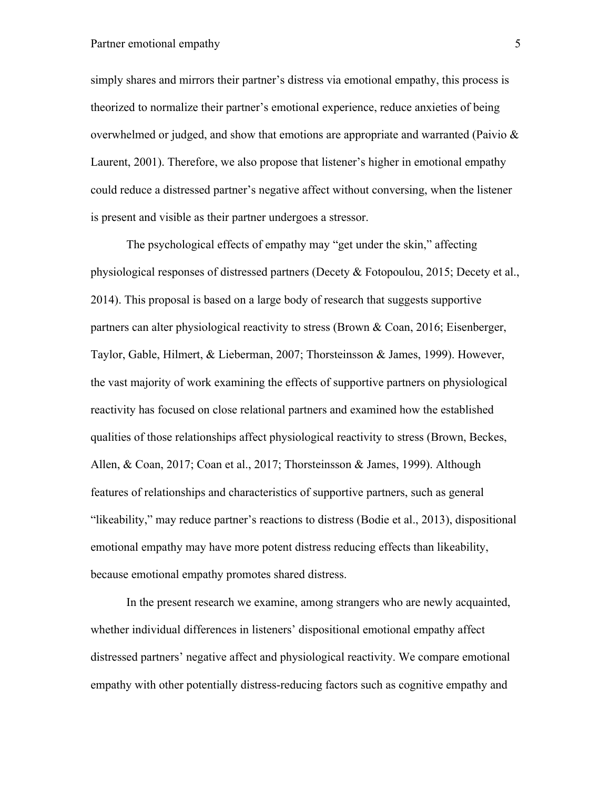# Partner emotional empathy 5

simply shares and mirrors their partner's distress via emotional empathy, this process is theorized to normalize their partner's emotional experience, reduce anxieties of being overwhelmed or judged, and show that emotions are appropriate and warranted (Paivio  $\&$ Laurent, 2001). Therefore, we also propose that listener's higher in emotional empathy could reduce a distressed partner's negative affect without conversing, when the listener is present and visible as their partner undergoes a stressor.

The psychological effects of empathy may "get under the skin," affecting physiological responses of distressed partners (Decety & Fotopoulou, 2015; Decety et al., 2014). This proposal is based on a large body of research that suggests supportive partners can alter physiological reactivity to stress (Brown & Coan, 2016; Eisenberger, Taylor, Gable, Hilmert, & Lieberman, 2007; Thorsteinsson & James, 1999). However, the vast majority of work examining the effects of supportive partners on physiological reactivity has focused on close relational partners and examined how the established qualities of those relationships affect physiological reactivity to stress (Brown, Beckes, Allen, & Coan, 2017; Coan et al., 2017; Thorsteinsson & James, 1999). Although features of relationships and characteristics of supportive partners, such as general "likeability," may reduce partner's reactions to distress (Bodie et al., 2013), dispositional emotional empathy may have more potent distress reducing effects than likeability, because emotional empathy promotes shared distress.

In the present research we examine, among strangers who are newly acquainted, whether individual differences in listeners' dispositional emotional empathy affect distressed partners' negative affect and physiological reactivity. We compare emotional empathy with other potentially distress-reducing factors such as cognitive empathy and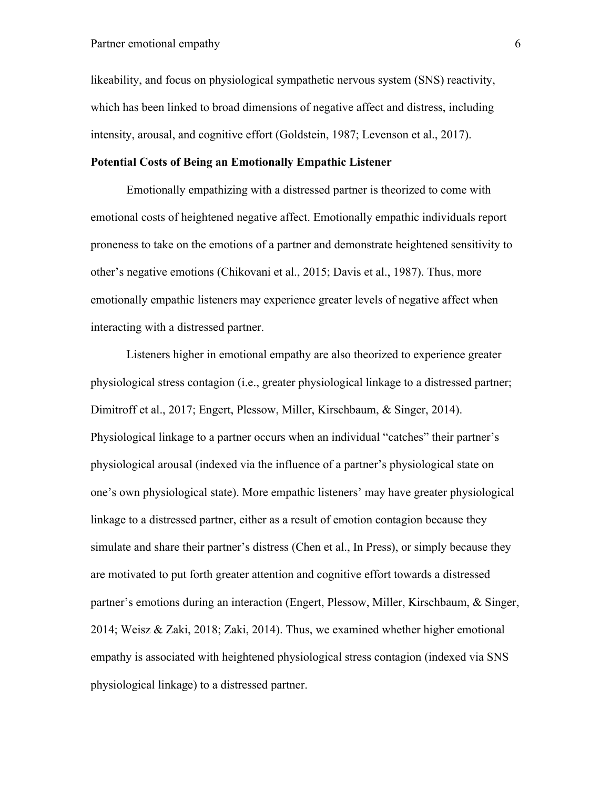likeability, and focus on physiological sympathetic nervous system (SNS) reactivity, which has been linked to broad dimensions of negative affect and distress, including intensity, arousal, and cognitive effort (Goldstein, 1987; Levenson et al., 2017).

# **Potential Costs of Being an Emotionally Empathic Listener**

Emotionally empathizing with a distressed partner is theorized to come with emotional costs of heightened negative affect. Emotionally empathic individuals report proneness to take on the emotions of a partner and demonstrate heightened sensitivity to other's negative emotions (Chikovani et al., 2015; Davis et al., 1987). Thus, more emotionally empathic listeners may experience greater levels of negative affect when interacting with a distressed partner.

Listeners higher in emotional empathy are also theorized to experience greater physiological stress contagion (i.e., greater physiological linkage to a distressed partner; Dimitroff et al., 2017; Engert, Plessow, Miller, Kirschbaum, & Singer, 2014). Physiological linkage to a partner occurs when an individual "catches" their partner's physiological arousal (indexed via the influence of a partner's physiological state on one's own physiological state). More empathic listeners' may have greater physiological linkage to a distressed partner, either as a result of emotion contagion because they simulate and share their partner's distress (Chen et al., In Press), or simply because they are motivated to put forth greater attention and cognitive effort towards a distressed partner's emotions during an interaction (Engert, Plessow, Miller, Kirschbaum, & Singer, 2014; Weisz & Zaki, 2018; Zaki, 2014). Thus, we examined whether higher emotional empathy is associated with heightened physiological stress contagion (indexed via SNS physiological linkage) to a distressed partner.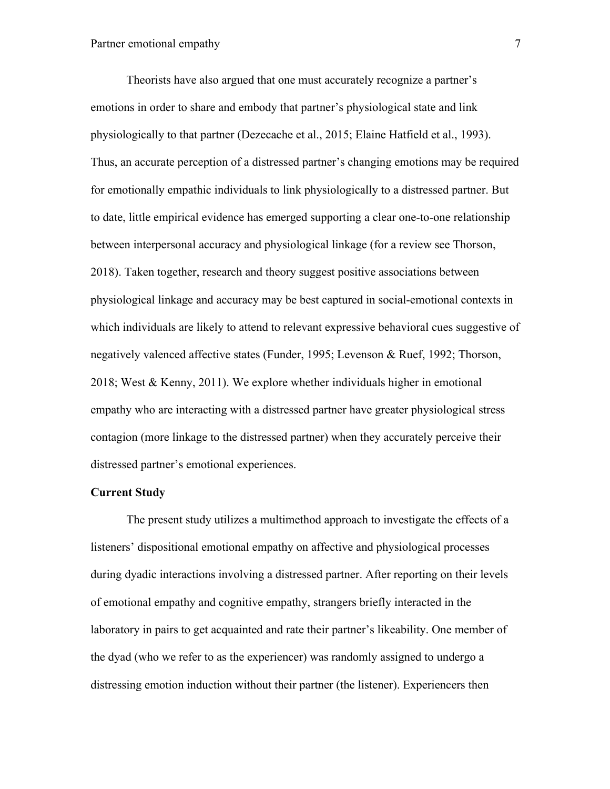Theorists have also argued that one must accurately recognize a partner's emotions in order to share and embody that partner's physiological state and link physiologically to that partner (Dezecache et al., 2015; Elaine Hatfield et al., 1993). Thus, an accurate perception of a distressed partner's changing emotions may be required for emotionally empathic individuals to link physiologically to a distressed partner. But to date, little empirical evidence has emerged supporting a clear one-to-one relationship between interpersonal accuracy and physiological linkage (for a review see Thorson, 2018). Taken together, research and theory suggest positive associations between physiological linkage and accuracy may be best captured in social-emotional contexts in which individuals are likely to attend to relevant expressive behavioral cues suggestive of negatively valenced affective states (Funder, 1995; Levenson & Ruef, 1992; Thorson, 2018; West & Kenny, 2011). We explore whether individuals higher in emotional empathy who are interacting with a distressed partner have greater physiological stress contagion (more linkage to the distressed partner) when they accurately perceive their distressed partner's emotional experiences.

#### **Current Study**

The present study utilizes a multimethod approach to investigate the effects of a listeners' dispositional emotional empathy on affective and physiological processes during dyadic interactions involving a distressed partner. After reporting on their levels of emotional empathy and cognitive empathy, strangers briefly interacted in the laboratory in pairs to get acquainted and rate their partner's likeability. One member of the dyad (who we refer to as the experiencer) was randomly assigned to undergo a distressing emotion induction without their partner (the listener). Experiencers then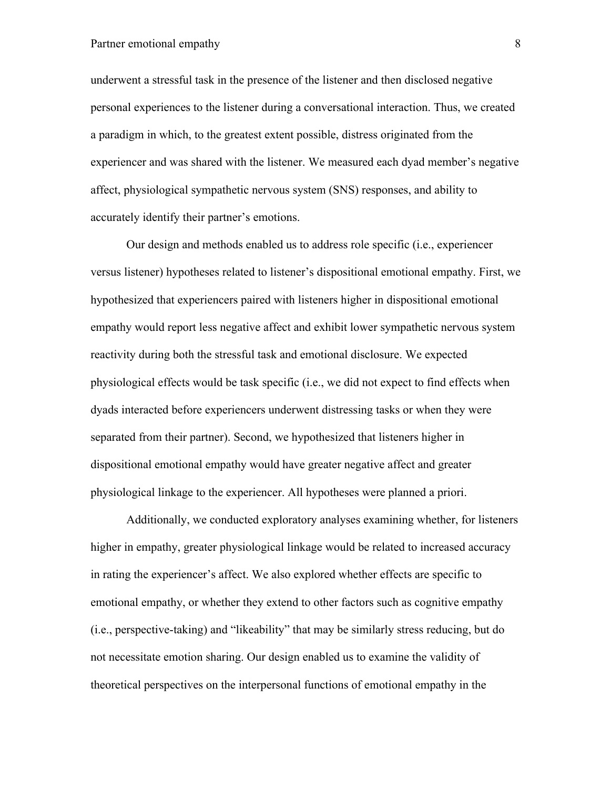# Partner emotional empathy 8

underwent a stressful task in the presence of the listener and then disclosed negative personal experiences to the listener during a conversational interaction. Thus, we created a paradigm in which, to the greatest extent possible, distress originated from the experiencer and was shared with the listener. We measured each dyad member's negative affect, physiological sympathetic nervous system (SNS) responses, and ability to accurately identify their partner's emotions.

Our design and methods enabled us to address role specific (i.e., experiencer versus listener) hypotheses related to listener's dispositional emotional empathy. First, we hypothesized that experiencers paired with listeners higher in dispositional emotional empathy would report less negative affect and exhibit lower sympathetic nervous system reactivity during both the stressful task and emotional disclosure. We expected physiological effects would be task specific (i.e., we did not expect to find effects when dyads interacted before experiencers underwent distressing tasks or when they were separated from their partner). Second, we hypothesized that listeners higher in dispositional emotional empathy would have greater negative affect and greater physiological linkage to the experiencer. All hypotheses were planned a priori.

Additionally, we conducted exploratory analyses examining whether, for listeners higher in empathy, greater physiological linkage would be related to increased accuracy in rating the experiencer's affect. We also explored whether effects are specific to emotional empathy, or whether they extend to other factors such as cognitive empathy (i.e., perspective-taking) and "likeability" that may be similarly stress reducing, but do not necessitate emotion sharing. Our design enabled us to examine the validity of theoretical perspectives on the interpersonal functions of emotional empathy in the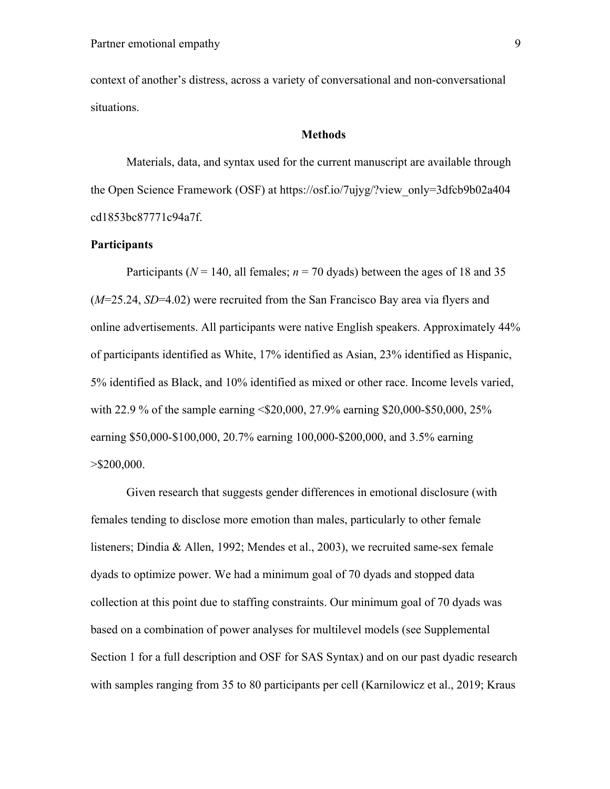context of another's distress, across a variety of conversational and non-conversational situations.

#### **Methods**

Materials, data, and syntax used for the current manuscript are available through the Open Science Framework (OSF) at https://osf.io/7ujyg/?view\_only=3dfcb9b02a404 cd1853bc87771c94a7f.

## **Participants**

Participants ( $N = 140$ , all females;  $n = 70$  dyads) between the ages of 18 and 35 (*M*=25.24, *SD*=4.02) were recruited from the San Francisco Bay area via flyers and online advertisements. All participants were native English speakers. Approximately 44% of participants identified as White, 17% identified as Asian, 23% identified as Hispanic, 5% identified as Black, and 10% identified as mixed or other race. Income levels varied, with 22.9 % of the sample earning <\$20,000, 27.9% earning \$20,000-\$50,000, 25% earning \$50,000-\$100,000, 20.7% earning 100,000-\$200,000, and 3.5% earning  $>$ \$200,000.

Given research that suggests gender differences in emotional disclosure (with females tending to disclose more emotion than males, particularly to other female listeners; Dindia & Allen, 1992; Mendes et al., 2003), we recruited same-sex female dyads to optimize power. We had a minimum goal of 70 dyads and stopped data collection at this point due to staffing constraints. Our minimum goal of 70 dyads was based on a combination of power analyses for multilevel models (see Supplemental Section 1 for a full description and OSF for SAS Syntax) and on our past dyadic research with samples ranging from 35 to 80 participants per cell (Karnilowicz et al., 2019; Kraus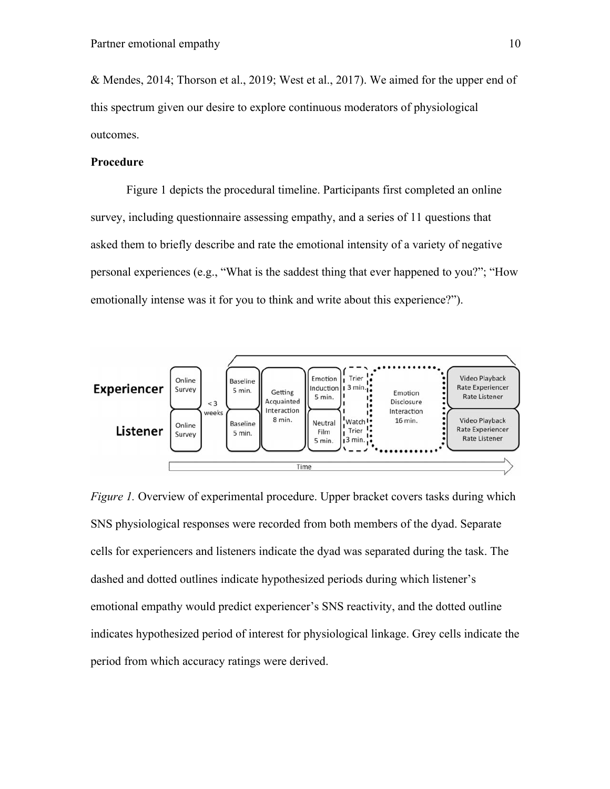& Mendes, 2014; Thorson et al., 2019; West et al., 2017). We aimed for the upper end of this spectrum given our desire to explore continuous moderators of physiological outcomes.

#### **Procedure**

Figure 1 depicts the procedural timeline. Participants first completed an online survey, including questionnaire assessing empathy, and a series of 11 questions that asked them to briefly describe and rate the emotional intensity of a variety of negative personal experiences (e.g., "What is the saddest thing that ever happened to you?"; "How emotionally intense was it for you to think and write about this experience?").



*Figure 1.* Overview of experimental procedure. Upper bracket covers tasks during which SNS physiological responses were recorded from both members of the dyad. Separate cells for experiencers and listeners indicate the dyad was separated during the task. The dashed and dotted outlines indicate hypothesized periods during which listener's emotional empathy would predict experiencer's SNS reactivity, and the dotted outline indicates hypothesized period of interest for physiological linkage. Grey cells indicate the period from which accuracy ratings were derived.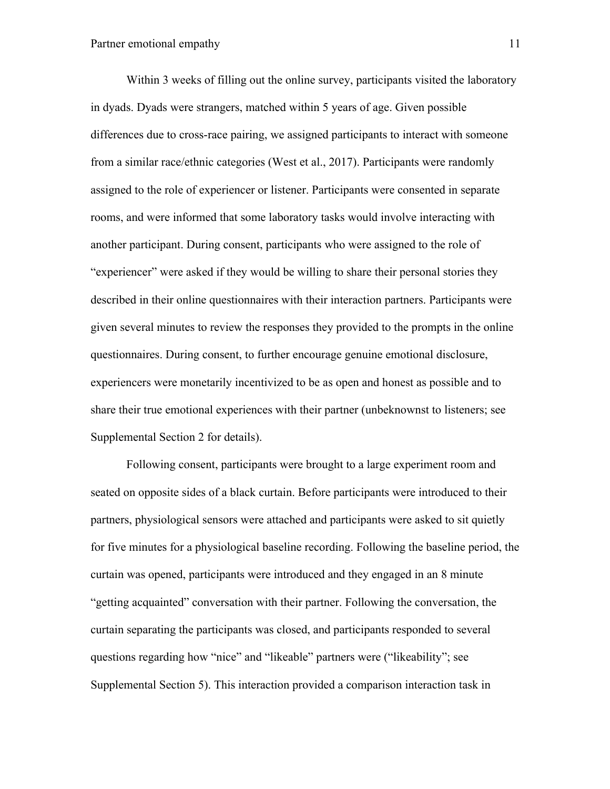Within 3 weeks of filling out the online survey, participants visited the laboratory in dyads. Dyads were strangers, matched within 5 years of age. Given possible differences due to cross-race pairing, we assigned participants to interact with someone from a similar race/ethnic categories (West et al., 2017). Participants were randomly assigned to the role of experiencer or listener. Participants were consented in separate rooms, and were informed that some laboratory tasks would involve interacting with another participant. During consent, participants who were assigned to the role of "experiencer" were asked if they would be willing to share their personal stories they described in their online questionnaires with their interaction partners. Participants were given several minutes to review the responses they provided to the prompts in the online questionnaires. During consent, to further encourage genuine emotional disclosure, experiencers were monetarily incentivized to be as open and honest as possible and to share their true emotional experiences with their partner (unbeknownst to listeners; see Supplemental Section 2 for details).

Following consent, participants were brought to a large experiment room and seated on opposite sides of a black curtain. Before participants were introduced to their partners, physiological sensors were attached and participants were asked to sit quietly for five minutes for a physiological baseline recording. Following the baseline period, the curtain was opened, participants were introduced and they engaged in an 8 minute "getting acquainted" conversation with their partner. Following the conversation, the curtain separating the participants was closed, and participants responded to several questions regarding how "nice" and "likeable" partners were ("likeability"; see Supplemental Section 5). This interaction provided a comparison interaction task in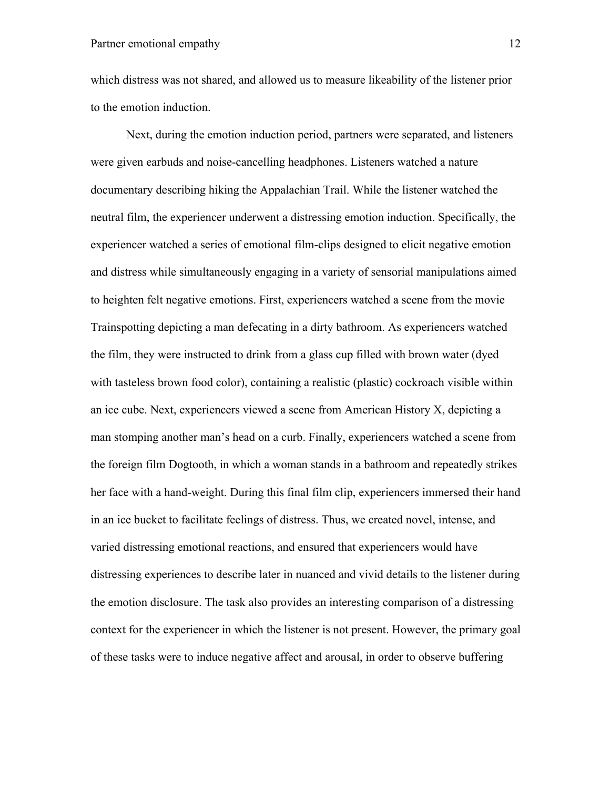which distress was not shared, and allowed us to measure likeability of the listener prior to the emotion induction.

Next, during the emotion induction period, partners were separated, and listeners were given earbuds and noise-cancelling headphones. Listeners watched a nature documentary describing hiking the Appalachian Trail. While the listener watched the neutral film, the experiencer underwent a distressing emotion induction. Specifically, the experiencer watched a series of emotional film-clips designed to elicit negative emotion and distress while simultaneously engaging in a variety of sensorial manipulations aimed to heighten felt negative emotions. First, experiencers watched a scene from the movie Trainspotting depicting a man defecating in a dirty bathroom. As experiencers watched the film, they were instructed to drink from a glass cup filled with brown water (dyed with tasteless brown food color), containing a realistic (plastic) cockroach visible within an ice cube. Next, experiencers viewed a scene from American History X, depicting a man stomping another man's head on a curb. Finally, experiencers watched a scene from the foreign film Dogtooth, in which a woman stands in a bathroom and repeatedly strikes her face with a hand-weight. During this final film clip, experiencers immersed their hand in an ice bucket to facilitate feelings of distress. Thus, we created novel, intense, and varied distressing emotional reactions, and ensured that experiencers would have distressing experiences to describe later in nuanced and vivid details to the listener during the emotion disclosure. The task also provides an interesting comparison of a distressing context for the experiencer in which the listener is not present. However, the primary goal of these tasks were to induce negative affect and arousal, in order to observe buffering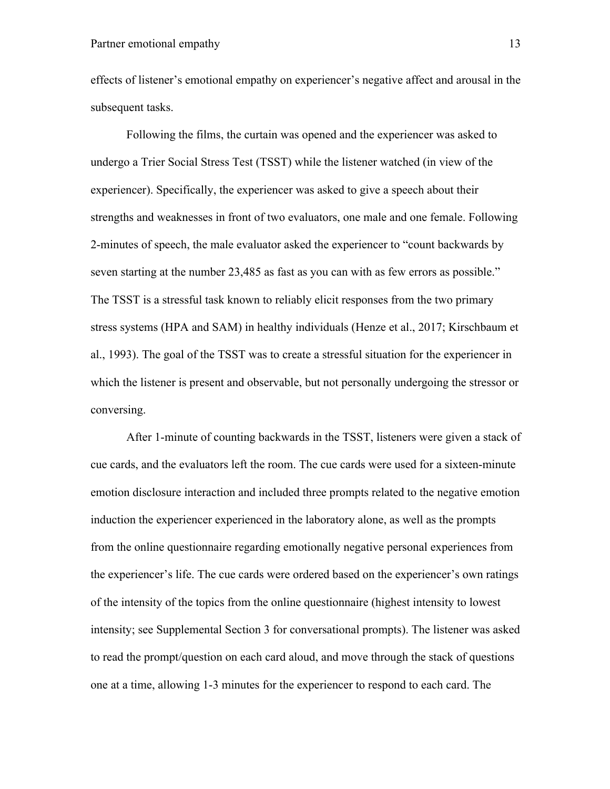effects of listener's emotional empathy on experiencer's negative affect and arousal in the subsequent tasks.

Following the films, the curtain was opened and the experiencer was asked to undergo a Trier Social Stress Test (TSST) while the listener watched (in view of the experiencer). Specifically, the experiencer was asked to give a speech about their strengths and weaknesses in front of two evaluators, one male and one female. Following 2-minutes of speech, the male evaluator asked the experiencer to "count backwards by seven starting at the number 23,485 as fast as you can with as few errors as possible." The TSST is a stressful task known to reliably elicit responses from the two primary stress systems (HPA and SAM) in healthy individuals (Henze et al., 2017; Kirschbaum et al., 1993). The goal of the TSST was to create a stressful situation for the experiencer in which the listener is present and observable, but not personally undergoing the stressor or conversing.

After 1-minute of counting backwards in the TSST, listeners were given a stack of cue cards, and the evaluators left the room. The cue cards were used for a sixteen-minute emotion disclosure interaction and included three prompts related to the negative emotion induction the experiencer experienced in the laboratory alone, as well as the prompts from the online questionnaire regarding emotionally negative personal experiences from the experiencer's life. The cue cards were ordered based on the experiencer's own ratings of the intensity of the topics from the online questionnaire (highest intensity to lowest intensity; see Supplemental Section 3 for conversational prompts). The listener was asked to read the prompt/question on each card aloud, and move through the stack of questions one at a time, allowing 1-3 minutes for the experiencer to respond to each card. The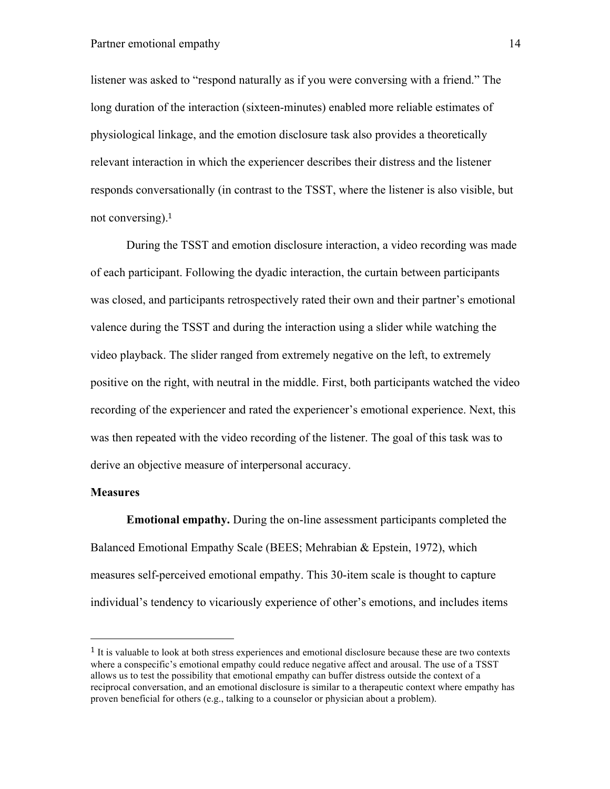listener was asked to "respond naturally as if you were conversing with a friend." The long duration of the interaction (sixteen-minutes) enabled more reliable estimates of physiological linkage, and the emotion disclosure task also provides a theoretically relevant interaction in which the experiencer describes their distress and the listener responds conversationally (in contrast to the TSST, where the listener is also visible, but not conversing).<sup>1</sup>

During the TSST and emotion disclosure interaction, a video recording was made of each participant. Following the dyadic interaction, the curtain between participants was closed, and participants retrospectively rated their own and their partner's emotional valence during the TSST and during the interaction using a slider while watching the video playback. The slider ranged from extremely negative on the left, to extremely positive on the right, with neutral in the middle. First, both participants watched the video recording of the experiencer and rated the experiencer's emotional experience. Next, this was then repeated with the video recording of the listener. The goal of this task was to derive an objective measure of interpersonal accuracy.

# **Measures**

 

**Emotional empathy.** During the on-line assessment participants completed the Balanced Emotional Empathy Scale (BEES; Mehrabian & Epstein, 1972), which measures self-perceived emotional empathy. This 30-item scale is thought to capture individual's tendency to vicariously experience of other's emotions, and includes items

<sup>&</sup>lt;sup>1</sup> It is valuable to look at both stress experiences and emotional disclosure because these are two contexts where a conspecific's emotional empathy could reduce negative affect and arousal. The use of a TSST allows us to test the possibility that emotional empathy can buffer distress outside the context of a reciprocal conversation, and an emotional disclosure is similar to a therapeutic context where empathy has proven beneficial for others (e.g., talking to a counselor or physician about a problem).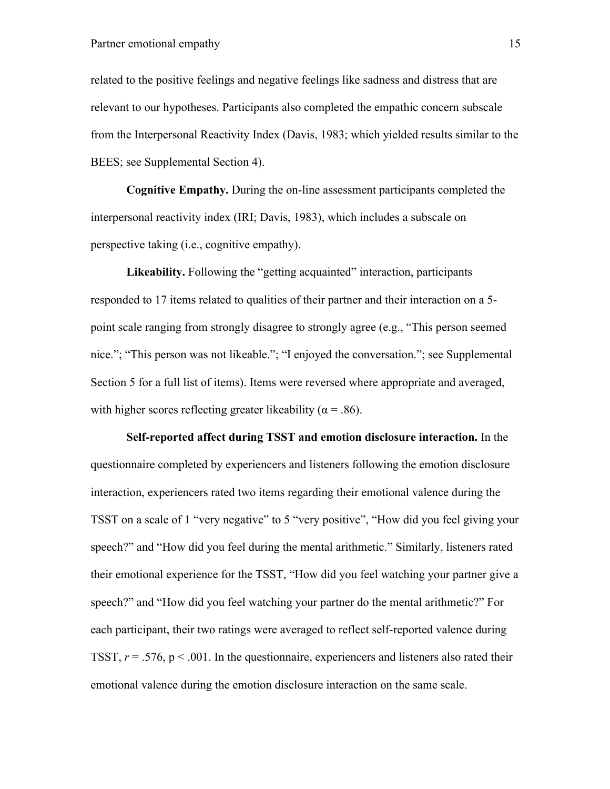related to the positive feelings and negative feelings like sadness and distress that are relevant to our hypotheses. Participants also completed the empathic concern subscale from the Interpersonal Reactivity Index (Davis, 1983; which yielded results similar to the BEES; see Supplemental Section 4).

**Cognitive Empathy.** During the on-line assessment participants completed the interpersonal reactivity index (IRI; Davis, 1983), which includes a subscale on perspective taking (i.e., cognitive empathy).

**Likeability.** Following the "getting acquainted" interaction, participants responded to 17 items related to qualities of their partner and their interaction on a 5 point scale ranging from strongly disagree to strongly agree (e.g., "This person seemed nice."; "This person was not likeable."; "I enjoyed the conversation."; see Supplemental Section 5 for a full list of items). Items were reversed where appropriate and averaged, with higher scores reflecting greater likeability ( $\alpha$  = .86).

**Self-reported affect during TSST and emotion disclosure interaction.** In the questionnaire completed by experiencers and listeners following the emotion disclosure interaction, experiencers rated two items regarding their emotional valence during the TSST on a scale of 1 "very negative" to 5 "very positive", "How did you feel giving your speech?" and "How did you feel during the mental arithmetic." Similarly, listeners rated their emotional experience for the TSST, "How did you feel watching your partner give a speech?" and "How did you feel watching your partner do the mental arithmetic?" For each participant, their two ratings were averaged to reflect self-reported valence during TSST,  $r = .576$ ,  $p < .001$ . In the questionnaire, experiencers and listeners also rated their emotional valence during the emotion disclosure interaction on the same scale.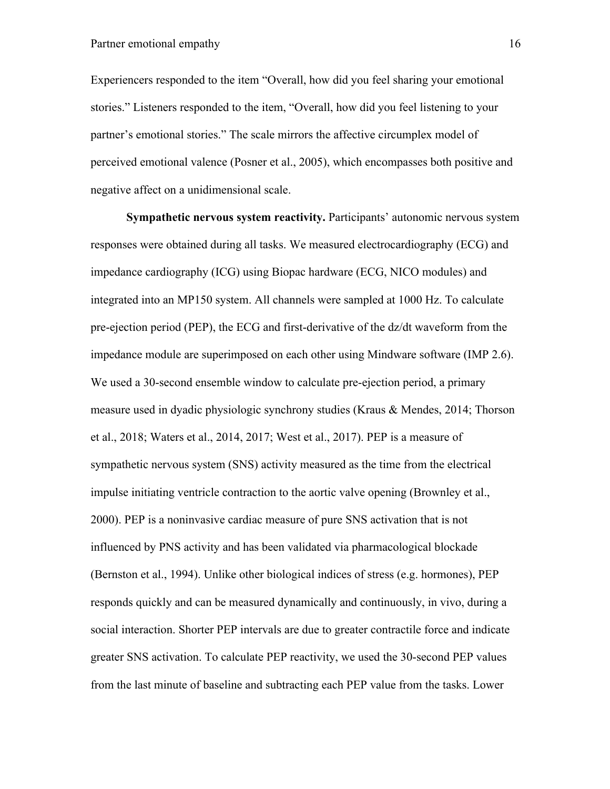Experiencers responded to the item "Overall, how did you feel sharing your emotional stories." Listeners responded to the item, "Overall, how did you feel listening to your partner's emotional stories." The scale mirrors the affective circumplex model of perceived emotional valence (Posner et al., 2005), which encompasses both positive and negative affect on a unidimensional scale.

**Sympathetic nervous system reactivity.** Participants' autonomic nervous system responses were obtained during all tasks. We measured electrocardiography (ECG) and impedance cardiography (ICG) using Biopac hardware (ECG, NICO modules) and integrated into an MP150 system. All channels were sampled at 1000 Hz. To calculate pre-ejection period (PEP), the ECG and first-derivative of the dz/dt waveform from the impedance module are superimposed on each other using Mindware software (IMP 2.6). We used a 30-second ensemble window to calculate pre-ejection period, a primary measure used in dyadic physiologic synchrony studies (Kraus & Mendes, 2014; Thorson et al., 2018; Waters et al., 2014, 2017; West et al., 2017). PEP is a measure of sympathetic nervous system (SNS) activity measured as the time from the electrical impulse initiating ventricle contraction to the aortic valve opening (Brownley et al., 2000). PEP is a noninvasive cardiac measure of pure SNS activation that is not influenced by PNS activity and has been validated via pharmacological blockade (Bernston et al., 1994). Unlike other biological indices of stress (e.g. hormones), PEP responds quickly and can be measured dynamically and continuously, in vivo, during a social interaction. Shorter PEP intervals are due to greater contractile force and indicate greater SNS activation. To calculate PEP reactivity, we used the 30-second PEP values from the last minute of baseline and subtracting each PEP value from the tasks. Lower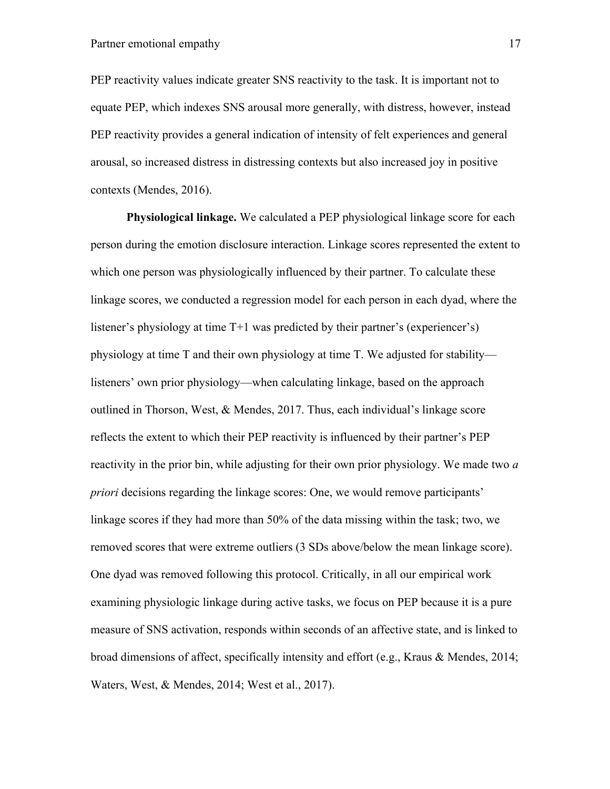PEP reactivity values indicate greater SNS reactivity to the task. It is important not to equate PEP, which indexes SNS arousal more generally, with distress, however, instead PEP reactivity provides a general indication of intensity of felt experiences and general arousal, so increased distress in distressing contexts but also increased joy in positive contexts (Mendes, 2016).

**Physiological linkage.** We calculated a PEP physiological linkage score for each person during the emotion disclosure interaction. Linkage scores represented the extent to which one person was physiologically influenced by their partner. To calculate these linkage scores, we conducted a regression model for each person in each dyad, where the listener's physiology at time T+1 was predicted by their partner's (experiencer's) physiology at time T and their own physiology at time T. We adjusted for stability listeners' own prior physiology—when calculating linkage, based on the approach outlined in Thorson, West, & Mendes, 2017. Thus, each individual's linkage score reflects the extent to which their PEP reactivity is influenced by their partner's PEP reactivity in the prior bin, while adjusting for their own prior physiology. We made two *a priori* decisions regarding the linkage scores: One, we would remove participants' linkage scores if they had more than 50% of the data missing within the task; two, we removed scores that were extreme outliers (3 SDs above/below the mean linkage score). One dyad was removed following this protocol. Critically, in all our empirical work examining physiologic linkage during active tasks, we focus on PEP because it is a pure measure of SNS activation, responds within seconds of an affective state, and is linked to broad dimensions of affect, specifically intensity and effort (e.g., Kraus & Mendes, 2014; Waters, West, & Mendes, 2014; West et al., 2017).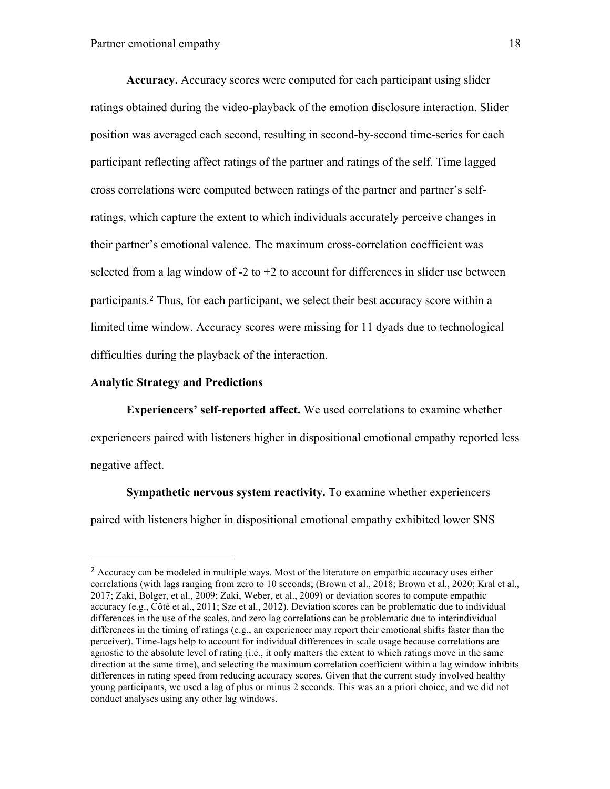**Accuracy.** Accuracy scores were computed for each participant using slider ratings obtained during the video-playback of the emotion disclosure interaction. Slider position was averaged each second, resulting in second-by-second time-series for each participant reflecting affect ratings of the partner and ratings of the self. Time lagged cross correlations were computed between ratings of the partner and partner's selfratings, which capture the extent to which individuals accurately perceive changes in their partner's emotional valence. The maximum cross-correlation coefficient was selected from a lag window of  $-2$  to  $+2$  to account for differences in slider use between participants.<sup>2</sup> Thus, for each participant, we select their best accuracy score within a limited time window. Accuracy scores were missing for 11 dyads due to technological difficulties during the playback of the interaction.

#### **Analytic Strategy and Predictions**

 

**Experiencers' self-reported affect.** We used correlations to examine whether experiencers paired with listeners higher in dispositional emotional empathy reported less negative affect.

**Sympathetic nervous system reactivity.** To examine whether experiencers paired with listeners higher in dispositional emotional empathy exhibited lower SNS

<sup>&</sup>lt;sup>2</sup> Accuracy can be modeled in multiple ways. Most of the literature on empathic accuracy uses either correlations (with lags ranging from zero to 10 seconds; (Brown et al., 2018; Brown et al., 2020; Kral et al., 2017; Zaki, Bolger, et al., 2009; Zaki, Weber, et al., 2009) or deviation scores to compute empathic accuracy (e.g., Côté et al., 2011; Sze et al., 2012). Deviation scores can be problematic due to individual differences in the use of the scales, and zero lag correlations can be problematic due to interindividual differences in the timing of ratings (e.g., an experiencer may report their emotional shifts faster than the perceiver). Time-lags help to account for individual differences in scale usage because correlations are agnostic to the absolute level of rating (i.e., it only matters the extent to which ratings move in the same direction at the same time), and selecting the maximum correlation coefficient within a lag window inhibits differences in rating speed from reducing accuracy scores. Given that the current study involved healthy young participants, we used a lag of plus or minus 2 seconds. This was an a priori choice, and we did not conduct analyses using any other lag windows.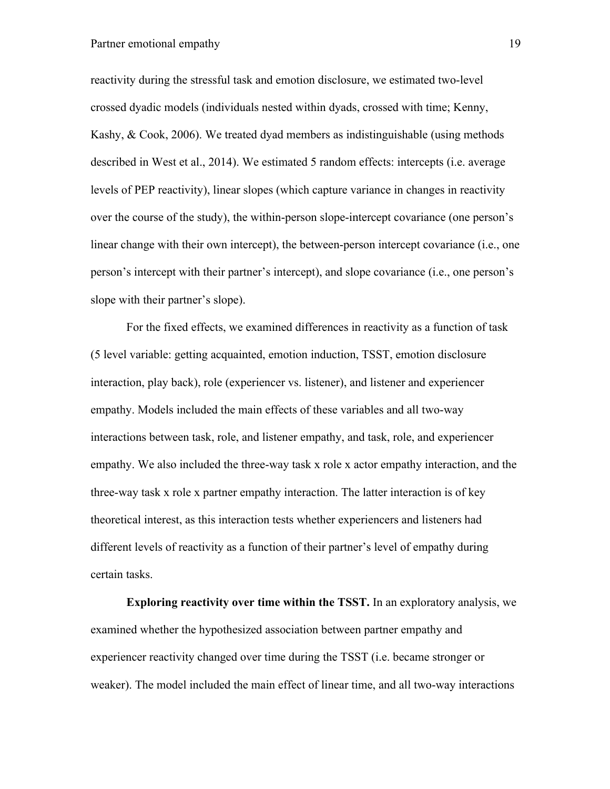# Partner emotional empathy 19

reactivity during the stressful task and emotion disclosure, we estimated two-level crossed dyadic models (individuals nested within dyads, crossed with time; Kenny, Kashy, & Cook, 2006). We treated dyad members as indistinguishable (using methods described in West et al., 2014). We estimated 5 random effects: intercepts (i.e. average levels of PEP reactivity), linear slopes (which capture variance in changes in reactivity over the course of the study), the within-person slope-intercept covariance (one person's linear change with their own intercept), the between-person intercept covariance (i.e., one person's intercept with their partner's intercept), and slope covariance (i.e., one person's slope with their partner's slope).

For the fixed effects, we examined differences in reactivity as a function of task (5 level variable: getting acquainted, emotion induction, TSST, emotion disclosure interaction, play back), role (experiencer vs. listener), and listener and experiencer empathy. Models included the main effects of these variables and all two-way interactions between task, role, and listener empathy, and task, role, and experiencer empathy. We also included the three-way task x role x actor empathy interaction, and the three-way task x role x partner empathy interaction. The latter interaction is of key theoretical interest, as this interaction tests whether experiencers and listeners had different levels of reactivity as a function of their partner's level of empathy during certain tasks.

**Exploring reactivity over time within the TSST.** In an exploratory analysis, we examined whether the hypothesized association between partner empathy and experiencer reactivity changed over time during the TSST (i.e. became stronger or weaker). The model included the main effect of linear time, and all two-way interactions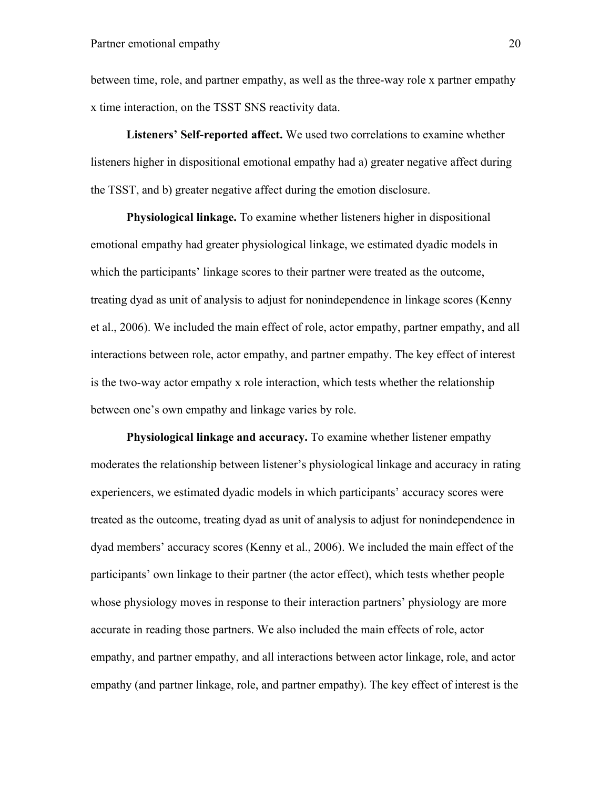between time, role, and partner empathy, as well as the three-way role x partner empathy x time interaction, on the TSST SNS reactivity data.

**Listeners' Self-reported affect.** We used two correlations to examine whether listeners higher in dispositional emotional empathy had a) greater negative affect during the TSST, and b) greater negative affect during the emotion disclosure.

**Physiological linkage.** To examine whether listeners higher in dispositional emotional empathy had greater physiological linkage, we estimated dyadic models in which the participants' linkage scores to their partner were treated as the outcome, treating dyad as unit of analysis to adjust for nonindependence in linkage scores (Kenny et al., 2006). We included the main effect of role, actor empathy, partner empathy, and all interactions between role, actor empathy, and partner empathy. The key effect of interest is the two-way actor empathy x role interaction, which tests whether the relationship between one's own empathy and linkage varies by role.

**Physiological linkage and accuracy.** To examine whether listener empathy moderates the relationship between listener's physiological linkage and accuracy in rating experiencers, we estimated dyadic models in which participants' accuracy scores were treated as the outcome, treating dyad as unit of analysis to adjust for nonindependence in dyad members' accuracy scores (Kenny et al., 2006). We included the main effect of the participants' own linkage to their partner (the actor effect), which tests whether people whose physiology moves in response to their interaction partners' physiology are more accurate in reading those partners. We also included the main effects of role, actor empathy, and partner empathy, and all interactions between actor linkage, role, and actor empathy (and partner linkage, role, and partner empathy). The key effect of interest is the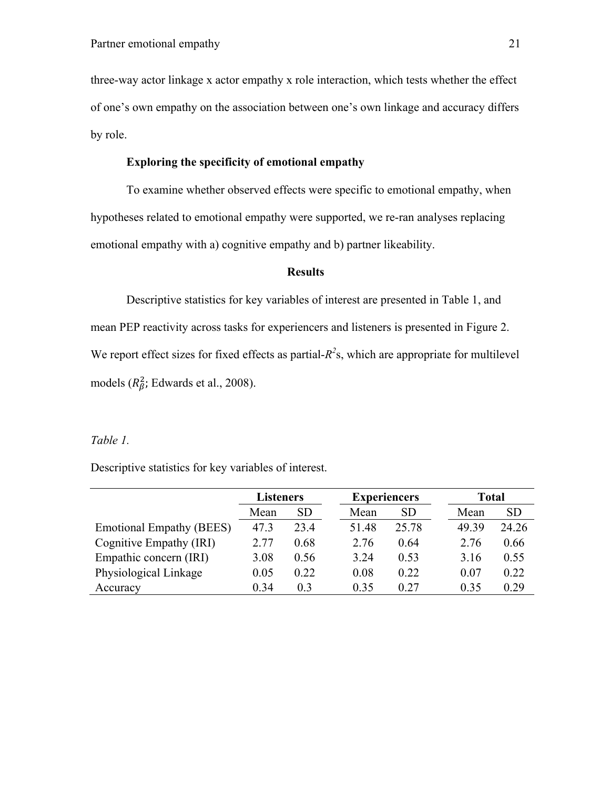three-way actor linkage x actor empathy x role interaction, which tests whether the effect of one's own empathy on the association between one's own linkage and accuracy differs by role.

# **Exploring the specificity of emotional empathy**

To examine whether observed effects were specific to emotional empathy, when hypotheses related to emotional empathy were supported, we re-ran analyses replacing emotional empathy with a) cognitive empathy and b) partner likeability.

#### **Results**

Descriptive statistics for key variables of interest are presented in Table 1, and mean PEP reactivity across tasks for experiencers and listeners is presented in Figure 2. We report effect sizes for fixed effects as partial- $R<sup>2</sup>$ s, which are appropriate for multilevel models ( $R_{\beta}^2$ ; Edwards et al., 2008).

# *Table 1.*

Descriptive statistics for key variables of interest.

|                                 | <b>Listeners</b> |      | <b>Experiencers</b> |           | Total |           |
|---------------------------------|------------------|------|---------------------|-----------|-------|-----------|
|                                 | Mean             | SD   | Mean                | <b>SD</b> | Mean  | <b>SD</b> |
| <b>Emotional Empathy (BEES)</b> | 47.3             | 23.4 | 51.48               | 25.78     | 49.39 | 24.26     |
| Cognitive Empathy (IRI)         | 2.77             | 0.68 | 2.76                | 0.64      | 2.76  | 0.66      |
| Empathic concern (IRI)          | 3.08             | 0.56 | 3.24                | 0.53      | 3.16  | 0.55      |
| Physiological Linkage           | 0.05             | 0.22 | 0.08                | 0.22      | 0.07  | 0.22      |
| Accuracy                        | 0.34             | 0.3  | 0.35                | 0.27      | 0.35  | 0.29      |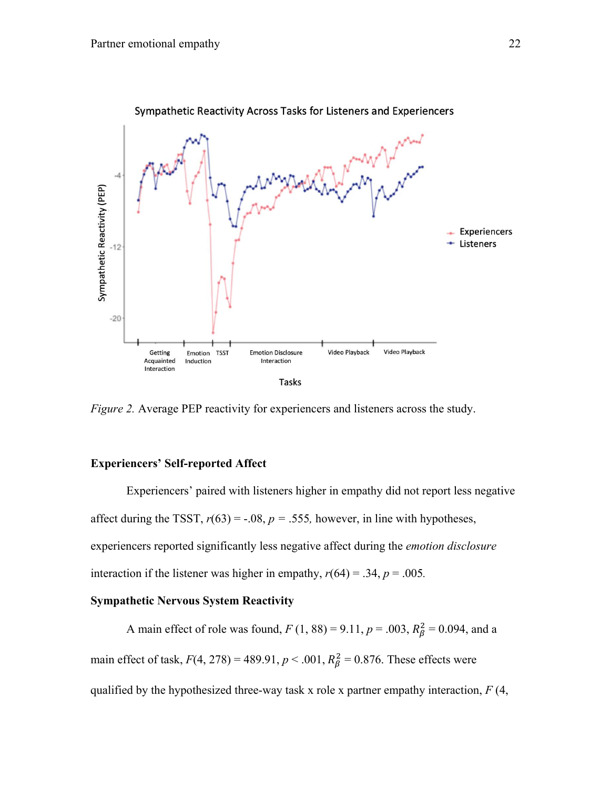

Sympathetic Reactivity Across Tasks for Listeners and Experiencers

*Figure 2.* Average PEP reactivity for experiencers and listeners across the study.

# **Experiencers' Self-reported Affect**

Experiencers' paired with listeners higher in empathy did not report less negative affect during the TSST,  $r(63) = -.08$ ,  $p = .555$ , however, in line with hypotheses, experiencers reported significantly less negative affect during the *emotion disclosure* interaction if the listener was higher in empathy,  $r(64) = .34$ ,  $p = .005$ .

# **Sympathetic Nervous System Reactivity**

A main effect of role was found,  $F(1, 88) = 9.11$ ,  $p = .003$ ,  $R_{\beta}^2 = 0.094$ , and a main effect of task,  $F(4, 278) = 489.91$ ,  $p < .001$ ,  $R_{\beta}^2 = 0.876$ . These effects were qualified by the hypothesized three-way task x role x partner empathy interaction, *F* (4,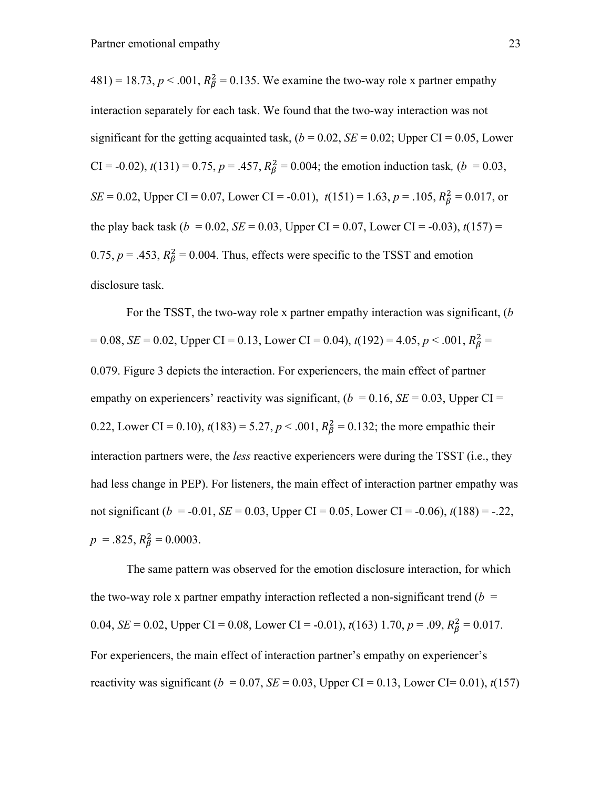481) = 18.73,  $p < .001$ ,  $R_\beta^2 = 0.135$ . We examine the two-way role x partner empathy interaction separately for each task. We found that the two-way interaction was not significant for the getting acquainted task,  $(b = 0.02, SE = 0.02;$  Upper CI = 0.05, Lower CI = -0.02),  $t(131) = 0.75$ ,  $p = .457$ ,  $R_\beta^2 = 0.004$ ; the emotion induction task, ( $b = 0.03$ , *SE* = 0.02, Upper CI = 0.07, Lower CI = -0.01),  $t(151) = 1.63$ ,  $p = .105$ ,  $R_{\beta}^2 = 0.017$ , or the play back task ( $b = 0.02$ ,  $SE = 0.03$ , Upper CI = 0.07, Lower CI = -0.03),  $t(157)$  = 0.75,  $p = 0.453$ ,  $R_{\beta}^2 = 0.004$ . Thus, effects were specific to the TSST and emotion disclosure task.

For the TSST, the two-way role x partner empathy interaction was significant, (*b*   $= 0.08$ , *SE* = 0.02, Upper CI = 0.13, Lower CI = 0.04),  $t(192) = 4.05$ ,  $p < .001$ ,  $R_{\beta}^2 =$ 0.079. Figure 3 depicts the interaction. For experiencers, the main effect of partner empathy on experiencers' reactivity was significant,  $(b = 0.16, SE = 0.03, Upper CI =$ 0.22, Lower CI = 0.10),  $t(183) = 5.27, p < .001, R_\beta^2 = 0.132$ ; the more empathic their interaction partners were, the *less* reactive experiencers were during the TSST (i.e., they had less change in PEP). For listeners, the main effect of interaction partner empathy was not significant ( $b = -0.01$ , *SE* = 0.03, Upper CI = 0.05, Lower CI = -0.06),  $t(188)$  = -.22,  $p = .825, R_{\beta}^2 = 0.0003.$ 

The same pattern was observed for the emotion disclosure interaction, for which the two-way role x partner empathy interaction reflected a non-significant trend  $(b =$ 0.04,  $SE = 0.02$ , Upper CI = 0.08, Lower CI = -0.01),  $t(163)$  1.70,  $p = .09$ ,  $R_{\beta}^2 = 0.017$ . For experiencers, the main effect of interaction partner's empathy on experiencer's reactivity was significant ( $b = 0.07$ ,  $SE = 0.03$ , Upper CI = 0.13, Lower CI = 0.01),  $t(157)$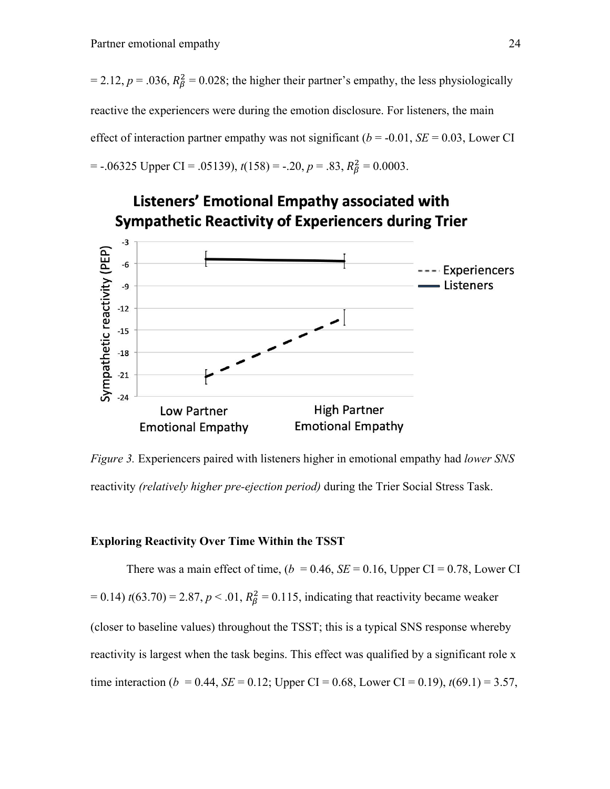$= 2.12, p = .036, R_{\beta}^2 = 0.028$ ; the higher their partner's empathy, the less physiologically reactive the experiencers were during the emotion disclosure. For listeners, the main effect of interaction partner empathy was not significant ( $b = -0.01$ ,  $SE = 0.03$ , Lower CI  $=$  -.06325 Upper CI = .05139),  $t(158) = -0.20$ ,  $p = 0.83$ ,  $R_{\beta}^{2} = 0.0003$ .



*Figure 3.* Experiencers paired with listeners higher in emotional empathy had *lower SNS*  reactivity *(relatively higher pre-ejection period)* during the Trier Social Stress Task.

#### **Exploring Reactivity Over Time Within the TSST**

There was a main effect of time,  $(b = 0.46, SE = 0.16, Upper CI = 0.78, Lower CI$  $= 0.14$ )  $t(63.70) = 2.87, p < .01, R_\beta^2 = 0.115$ , indicating that reactivity became weaker (closer to baseline values) throughout the TSST; this is a typical SNS response whereby reactivity is largest when the task begins. This effect was qualified by a significant role x time interaction (*b* = 0.44, *SE* = 0.12; Upper CI = 0.68, Lower CI = 0.19),  $t(69.1) = 3.57$ ,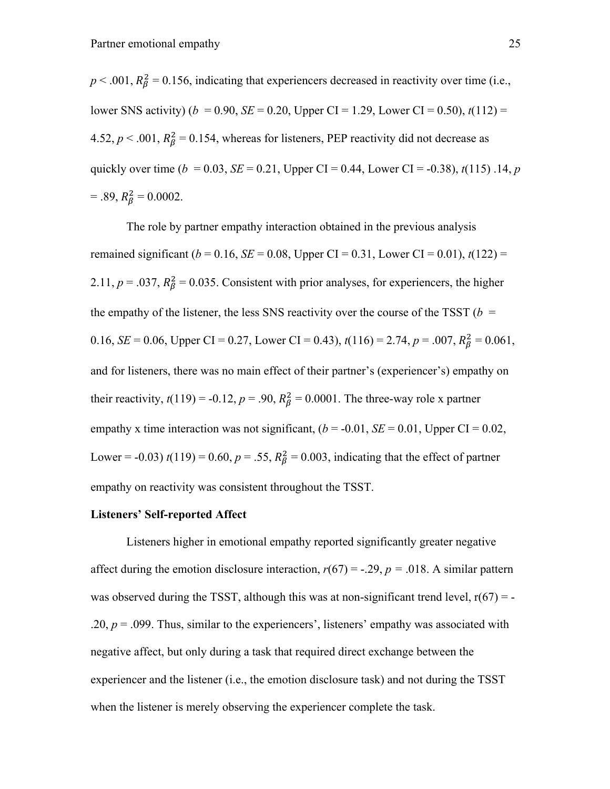$p < .001$ ,  $R_{\beta}^2 = 0.156$ , indicating that experiencers decreased in reactivity over time (i.e., lower SNS activity) ( $b = 0.90$ , *SE* = 0.20, Upper CI = 1.29, Lower CI = 0.50),  $t(112)$  = 4.52,  $p < .001$ ,  $R_{\beta}^2 = 0.154$ , whereas for listeners, PEP reactivity did not decrease as quickly over time ( $b = 0.03$ ,  $SE = 0.21$ , Upper CI = 0.44, Lower CI = -0.38),  $t(115)$ . 14,  $p$  $= .89, R_{\beta}^2 = 0.0002.$ 

The role by partner empathy interaction obtained in the previous analysis remained significant ( $b = 0.16$ ,  $SE = 0.08$ , Upper CI = 0.31, Lower CI = 0.01),  $t(122)$  = 2.11,  $p = .037$ ,  $R_{\beta}^2 = 0.035$ . Consistent with prior analyses, for experiencers, the higher the empathy of the listener, the less SNS reactivity over the course of the TSST ( $b =$ 0.16, *SE* = 0.06, Upper CI = 0.27, Lower CI = 0.43),  $t(116) = 2.74$ ,  $p = .007$ ,  $R_{\beta}^2 = 0.061$ , and for listeners, there was no main effect of their partner's (experiencer's) empathy on their reactivity,  $t(119) = -0.12$ ,  $p = .90$ ,  $R_{\beta}^2 = 0.0001$ . The three-way role x partner empathy x time interaction was not significant,  $(b = -0.01, SE = 0.01, Upper Cl = 0.02$ , Lower = -0.03)  $t(119) = 0.60$ ,  $p = .55$ ,  $R_{\beta}^2 = 0.003$ , indicating that the effect of partner empathy on reactivity was consistent throughout the TSST.

#### **Listeners' Self-reported Affect**

Listeners higher in emotional empathy reported significantly greater negative affect during the emotion disclosure interaction,  $r(67) = -.29$ ,  $p = .018$ . A similar pattern was observed during the TSST, although this was at non-significant trend level,  $r(67) = -$ .20,  $p = 0.099$ . Thus, similar to the experiencers', listeners' empathy was associated with negative affect, but only during a task that required direct exchange between the experiencer and the listener (i.e., the emotion disclosure task) and not during the TSST when the listener is merely observing the experiencer complete the task.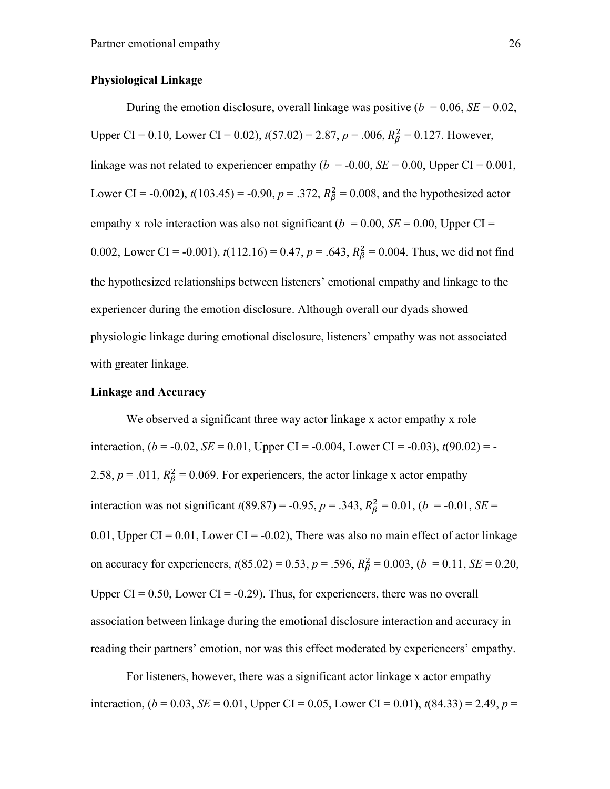## **Physiological Linkage**

During the emotion disclosure, overall linkage was positive  $(b = 0.06, SE = 0.02,$ Upper CI = 0.10, Lower CI = 0.02),  $t(57.02) = 2.87$ ,  $p = .006$ ,  $R_\beta^2 = 0.127$ . However, linkage was not related to experiencer empathy ( $b = -0.00$ ,  $SE = 0.00$ , Upper CI = 0.001, Lower CI = -0.002),  $t(103.45)$  = -0.90,  $p = .372$ ,  $R_{\beta}^2 = 0.008$ , and the hypothesized actor empathy x role interaction was also not significant ( $b = 0.00$ ,  $SE = 0.00$ , Upper CI = 0.002, Lower CI = -0.001),  $t(112.16) = 0.47$ ,  $p = .643$ ,  $R_\beta^2 = 0.004$ . Thus, we did not find the hypothesized relationships between listeners' emotional empathy and linkage to the experiencer during the emotion disclosure. Although overall our dyads showed physiologic linkage during emotional disclosure, listeners' empathy was not associated with greater linkage.

# **Linkage and Accuracy**

We observed a significant three way actor linkage x actor empathy x role interaction,  $(b = -0.02, SE = 0.01, Upper CI = -0.004, Lower CI = -0.03), t(90.02) = -$ 2.58,  $p = .011$ ,  $R_{\beta}^2 = 0.069$ . For experiencers, the actor linkage x actor empathy interaction was not significant  $t(89.87) = -0.95$ ,  $p = .343$ ,  $R_{\beta}^2 = 0.01$ ,  $(b = -0.01, SE =$ 0.01, Upper CI = 0.01, Lower CI =  $-0.02$ ), There was also no main effect of actor linkage on accuracy for experiencers,  $t(85.02) = 0.53$ ,  $p = .596$ ,  $R_\beta^2 = 0.003$ ,  $(b = 0.11, SE = 0.20$ , Upper  $CI = 0.50$ , Lower  $CI = -0.29$ ). Thus, for experiencers, there was no overall association between linkage during the emotional disclosure interaction and accuracy in reading their partners' emotion, nor was this effect moderated by experiencers' empathy.

For listeners, however, there was a significant actor linkage x actor empathy interaction,  $(b = 0.03, SE = 0.01, Upper CI = 0.05, Lower CI = 0.01), t(84.33) = 2.49, p =$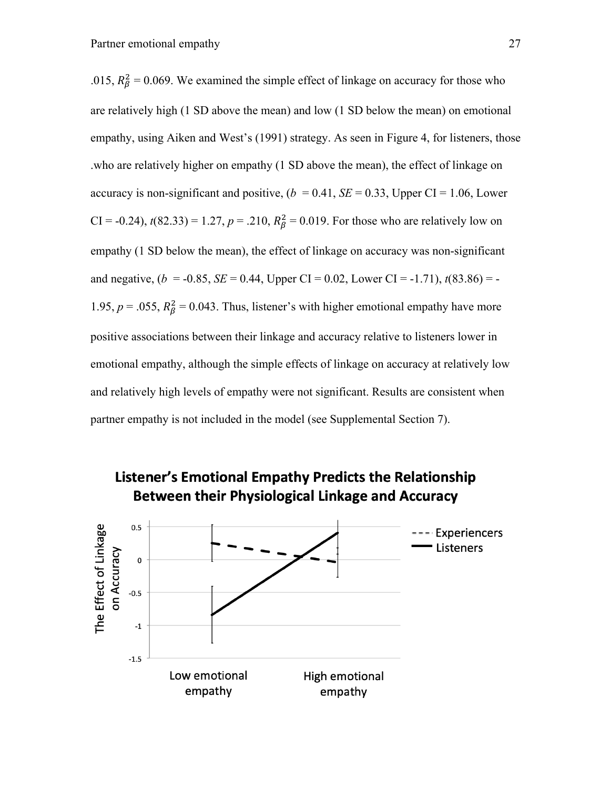.015,  $R_{\beta}^2 = 0.069$ . We examined the simple effect of linkage on accuracy for those who are relatively high (1 SD above the mean) and low (1 SD below the mean) on emotional empathy, using Aiken and West's (1991) strategy. As seen in Figure 4, for listeners, those .who are relatively higher on empathy (1 SD above the mean), the effect of linkage on accuracy is non-significant and positive,  $(b = 0.41, SE = 0.33, Upper CI = 1.06, Lower$ CI = -0.24),  $t(82.33) = 1.27$ ,  $p = .210$ ,  $R_\beta^2 = 0.019$ . For those who are relatively low on empathy (1 SD below the mean), the effect of linkage on accuracy was non-significant and negative,  $(b = -0.85, SE = 0.44, Upper CI = 0.02, Lower CI = -1.71), t(83.86) = -$ 1.95,  $p = 0.055$ ,  $R_{\beta}^2 = 0.043$ . Thus, listener's with higher emotional empathy have more positive associations between their linkage and accuracy relative to listeners lower in emotional empathy, although the simple effects of linkage on accuracy at relatively low and relatively high levels of empathy were not significant. Results are consistent when partner empathy is not included in the model (see Supplemental Section 7).



# Listener's Emotional Empathy Predicts the Relationship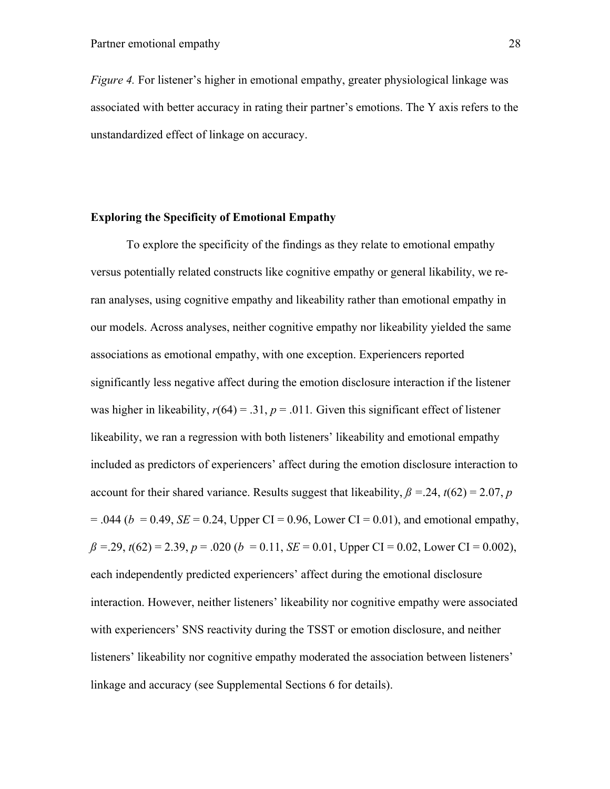*Figure 4.* For listener's higher in emotional empathy, greater physiological linkage was associated with better accuracy in rating their partner's emotions. The Y axis refers to the unstandardized effect of linkage on accuracy.

### **Exploring the Specificity of Emotional Empathy**

To explore the specificity of the findings as they relate to emotional empathy versus potentially related constructs like cognitive empathy or general likability, we reran analyses, using cognitive empathy and likeability rather than emotional empathy in our models. Across analyses, neither cognitive empathy nor likeability yielded the same associations as emotional empathy, with one exception. Experiencers reported significantly less negative affect during the emotion disclosure interaction if the listener was higher in likeability,  $r(64) = .31$ ,  $p = .011$ . Given this significant effect of listener likeability, we ran a regression with both listeners' likeability and emotional empathy included as predictors of experiencers' affect during the emotion disclosure interaction to account for their shared variance. Results suggest that likeability,  $\beta = 0.24$ ,  $t(62) = 2.07$ , *p*  $= .044$  ( $b = 0.49$ , *SE*  $= 0.24$ , Upper CI  $= 0.96$ , Lower CI  $= 0.01$ ), and emotional empathy,  $\beta = 0.29$ ,  $t(62) = 2.39$ ,  $p = 0.020$  (*b* = 0.11, *SE* = 0.01, Upper CI = 0.02, Lower CI = 0.002), each independently predicted experiencers' affect during the emotional disclosure interaction. However, neither listeners' likeability nor cognitive empathy were associated with experiencers' SNS reactivity during the TSST or emotion disclosure, and neither listeners' likeability nor cognitive empathy moderated the association between listeners' linkage and accuracy (see Supplemental Sections 6 for details).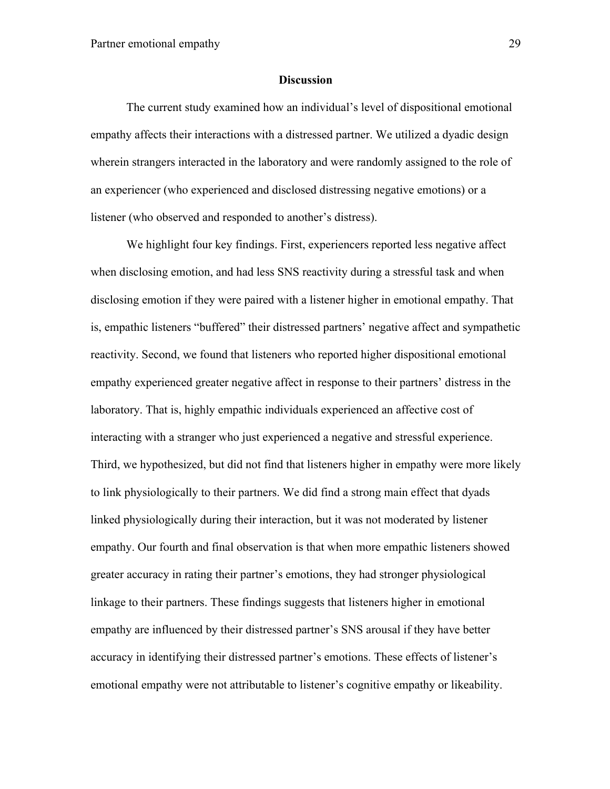#### **Discussion**

The current study examined how an individual's level of dispositional emotional empathy affects their interactions with a distressed partner. We utilized a dyadic design wherein strangers interacted in the laboratory and were randomly assigned to the role of an experiencer (who experienced and disclosed distressing negative emotions) or a listener (who observed and responded to another's distress).

We highlight four key findings. First, experiencers reported less negative affect when disclosing emotion, and had less SNS reactivity during a stressful task and when disclosing emotion if they were paired with a listener higher in emotional empathy. That is, empathic listeners "buffered" their distressed partners' negative affect and sympathetic reactivity. Second, we found that listeners who reported higher dispositional emotional empathy experienced greater negative affect in response to their partners' distress in the laboratory. That is, highly empathic individuals experienced an affective cost of interacting with a stranger who just experienced a negative and stressful experience. Third, we hypothesized, but did not find that listeners higher in empathy were more likely to link physiologically to their partners. We did find a strong main effect that dyads linked physiologically during their interaction, but it was not moderated by listener empathy. Our fourth and final observation is that when more empathic listeners showed greater accuracy in rating their partner's emotions, they had stronger physiological linkage to their partners. These findings suggests that listeners higher in emotional empathy are influenced by their distressed partner's SNS arousal if they have better accuracy in identifying their distressed partner's emotions. These effects of listener's emotional empathy were not attributable to listener's cognitive empathy or likeability.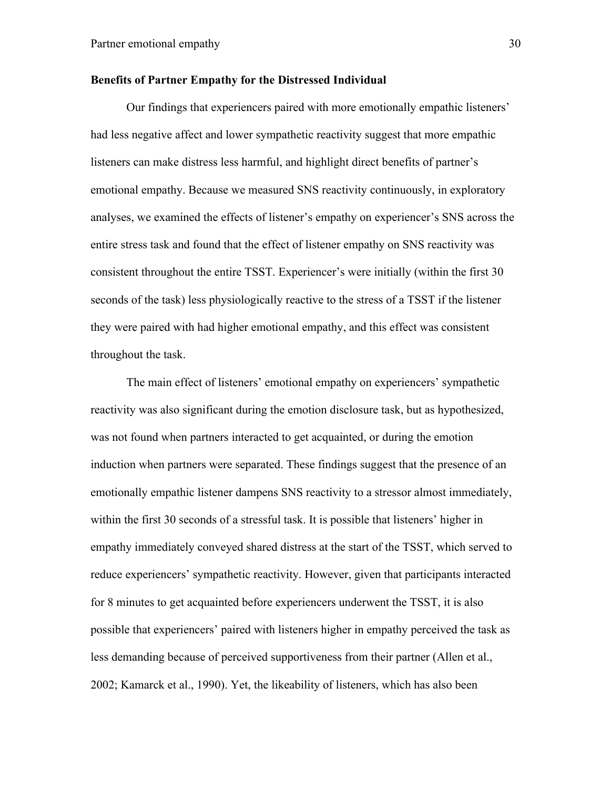#### **Benefits of Partner Empathy for the Distressed Individual**

Our findings that experiencers paired with more emotionally empathic listeners' had less negative affect and lower sympathetic reactivity suggest that more empathic listeners can make distress less harmful, and highlight direct benefits of partner's emotional empathy. Because we measured SNS reactivity continuously, in exploratory analyses, we examined the effects of listener's empathy on experiencer's SNS across the entire stress task and found that the effect of listener empathy on SNS reactivity was consistent throughout the entire TSST. Experiencer's were initially (within the first 30 seconds of the task) less physiologically reactive to the stress of a TSST if the listener they were paired with had higher emotional empathy, and this effect was consistent throughout the task.

The main effect of listeners' emotional empathy on experiencers' sympathetic reactivity was also significant during the emotion disclosure task, but as hypothesized, was not found when partners interacted to get acquainted, or during the emotion induction when partners were separated. These findings suggest that the presence of an emotionally empathic listener dampens SNS reactivity to a stressor almost immediately, within the first 30 seconds of a stressful task. It is possible that listeners' higher in empathy immediately conveyed shared distress at the start of the TSST, which served to reduce experiencers' sympathetic reactivity. However, given that participants interacted for 8 minutes to get acquainted before experiencers underwent the TSST, it is also possible that experiencers' paired with listeners higher in empathy perceived the task as less demanding because of perceived supportiveness from their partner (Allen et al., 2002; Kamarck et al., 1990). Yet, the likeability of listeners, which has also been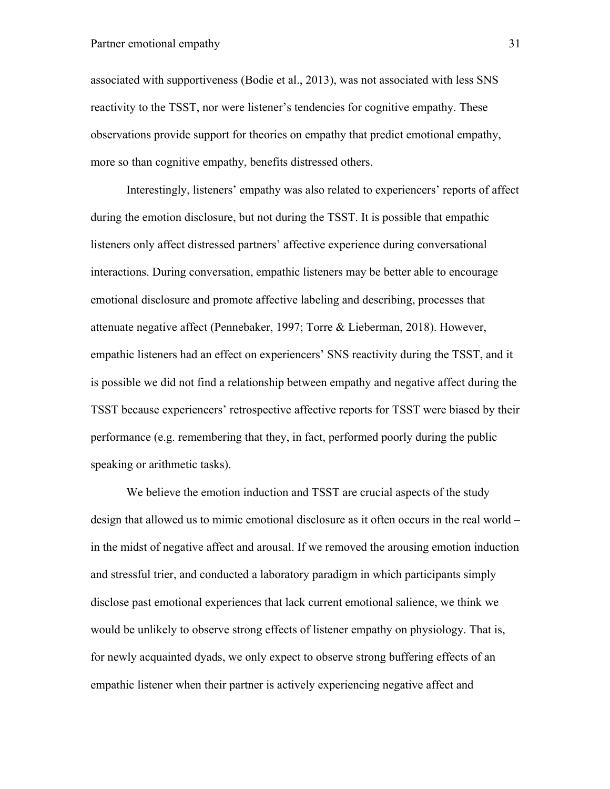associated with supportiveness (Bodie et al., 2013), was not associated with less SNS reactivity to the TSST, nor were listener's tendencies for cognitive empathy. These observations provide support for theories on empathy that predict emotional empathy, more so than cognitive empathy, benefits distressed others.

Interestingly, listeners' empathy was also related to experiencers' reports of affect during the emotion disclosure, but not during the TSST. It is possible that empathic listeners only affect distressed partners' affective experience during conversational interactions. During conversation, empathic listeners may be better able to encourage emotional disclosure and promote affective labeling and describing, processes that attenuate negative affect (Pennebaker, 1997; Torre & Lieberman, 2018). However, empathic listeners had an effect on experiencers' SNS reactivity during the TSST, and it is possible we did not find a relationship between empathy and negative affect during the TSST because experiencers' retrospective affective reports for TSST were biased by their performance (e.g. remembering that they, in fact, performed poorly during the public speaking or arithmetic tasks).

We believe the emotion induction and TSST are crucial aspects of the study design that allowed us to mimic emotional disclosure as it often occurs in the real world – in the midst of negative affect and arousal. If we removed the arousing emotion induction and stressful trier, and conducted a laboratory paradigm in which participants simply disclose past emotional experiences that lack current emotional salience, we think we would be unlikely to observe strong effects of listener empathy on physiology. That is, for newly acquainted dyads, we only expect to observe strong buffering effects of an empathic listener when their partner is actively experiencing negative affect and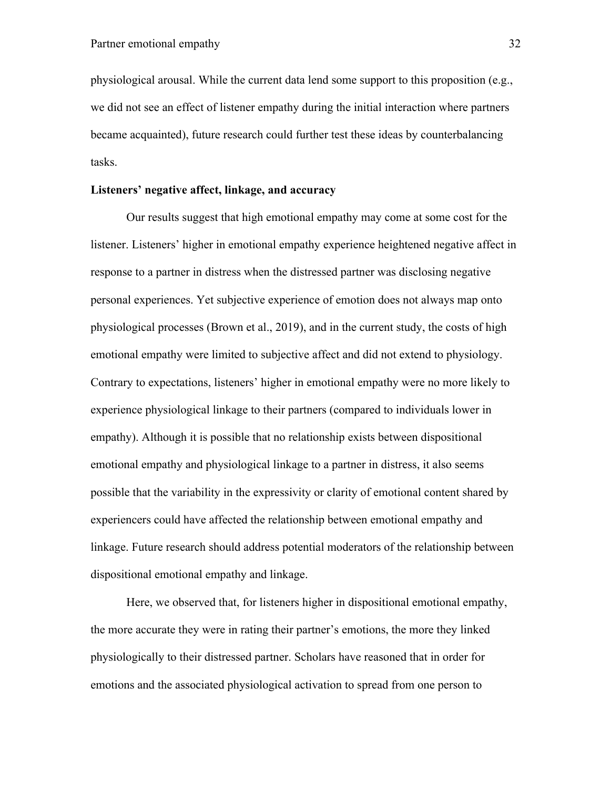physiological arousal. While the current data lend some support to this proposition (e.g., we did not see an effect of listener empathy during the initial interaction where partners became acquainted), future research could further test these ideas by counterbalancing tasks.

# **Listeners' negative affect, linkage, and accuracy**

Our results suggest that high emotional empathy may come at some cost for the listener. Listeners' higher in emotional empathy experience heightened negative affect in response to a partner in distress when the distressed partner was disclosing negative personal experiences. Yet subjective experience of emotion does not always map onto physiological processes (Brown et al., 2019), and in the current study, the costs of high emotional empathy were limited to subjective affect and did not extend to physiology. Contrary to expectations, listeners' higher in emotional empathy were no more likely to experience physiological linkage to their partners (compared to individuals lower in empathy). Although it is possible that no relationship exists between dispositional emotional empathy and physiological linkage to a partner in distress, it also seems possible that the variability in the expressivity or clarity of emotional content shared by experiencers could have affected the relationship between emotional empathy and linkage. Future research should address potential moderators of the relationship between dispositional emotional empathy and linkage.

Here, we observed that, for listeners higher in dispositional emotional empathy, the more accurate they were in rating their partner's emotions, the more they linked physiologically to their distressed partner. Scholars have reasoned that in order for emotions and the associated physiological activation to spread from one person to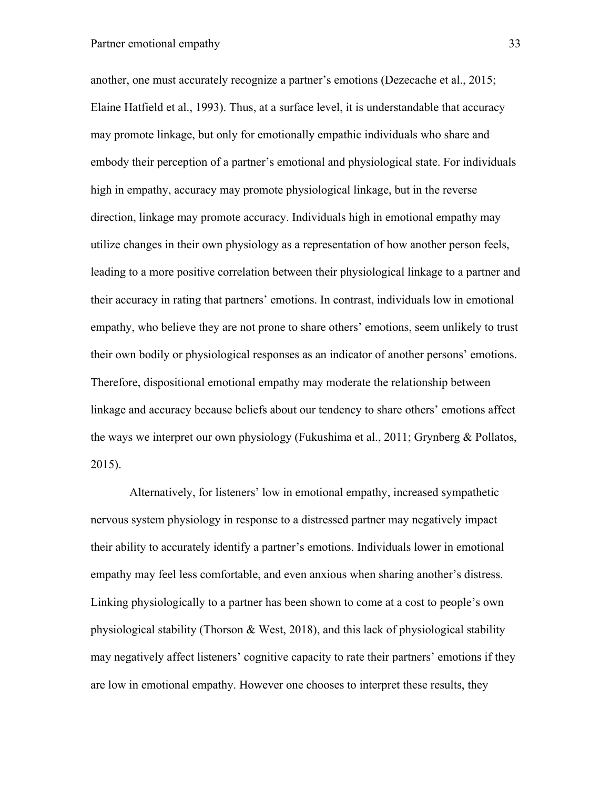# Partner emotional empathy 33

another, one must accurately recognize a partner's emotions (Dezecache et al., 2015; Elaine Hatfield et al., 1993). Thus, at a surface level, it is understandable that accuracy may promote linkage, but only for emotionally empathic individuals who share and embody their perception of a partner's emotional and physiological state. For individuals high in empathy, accuracy may promote physiological linkage, but in the reverse direction, linkage may promote accuracy. Individuals high in emotional empathy may utilize changes in their own physiology as a representation of how another person feels, leading to a more positive correlation between their physiological linkage to a partner and their accuracy in rating that partners' emotions. In contrast, individuals low in emotional empathy, who believe they are not prone to share others' emotions, seem unlikely to trust their own bodily or physiological responses as an indicator of another persons' emotions. Therefore, dispositional emotional empathy may moderate the relationship between linkage and accuracy because beliefs about our tendency to share others' emotions affect the ways we interpret our own physiology (Fukushima et al., 2011; Grynberg & Pollatos, 2015).

Alternatively, for listeners' low in emotional empathy, increased sympathetic nervous system physiology in response to a distressed partner may negatively impact their ability to accurately identify a partner's emotions. Individuals lower in emotional empathy may feel less comfortable, and even anxious when sharing another's distress. Linking physiologically to a partner has been shown to come at a cost to people's own physiological stability (Thorson & West, 2018), and this lack of physiological stability may negatively affect listeners' cognitive capacity to rate their partners' emotions if they are low in emotional empathy. However one chooses to interpret these results, they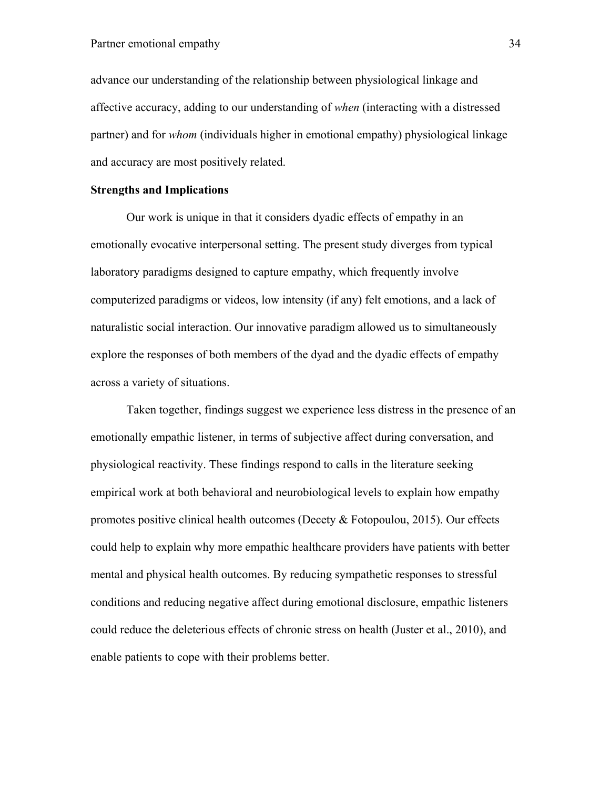# Partner emotional empathy 34

advance our understanding of the relationship between physiological linkage and affective accuracy, adding to our understanding of *when* (interacting with a distressed partner) and for *whom* (individuals higher in emotional empathy) physiological linkage and accuracy are most positively related.

# **Strengths and Implications**

Our work is unique in that it considers dyadic effects of empathy in an emotionally evocative interpersonal setting. The present study diverges from typical laboratory paradigms designed to capture empathy, which frequently involve computerized paradigms or videos, low intensity (if any) felt emotions, and a lack of naturalistic social interaction. Our innovative paradigm allowed us to simultaneously explore the responses of both members of the dyad and the dyadic effects of empathy across a variety of situations.

Taken together, findings suggest we experience less distress in the presence of an emotionally empathic listener, in terms of subjective affect during conversation, and physiological reactivity. These findings respond to calls in the literature seeking empirical work at both behavioral and neurobiological levels to explain how empathy promotes positive clinical health outcomes (Decety & Fotopoulou, 2015). Our effects could help to explain why more empathic healthcare providers have patients with better mental and physical health outcomes. By reducing sympathetic responses to stressful conditions and reducing negative affect during emotional disclosure, empathic listeners could reduce the deleterious effects of chronic stress on health (Juster et al., 2010), and enable patients to cope with their problems better.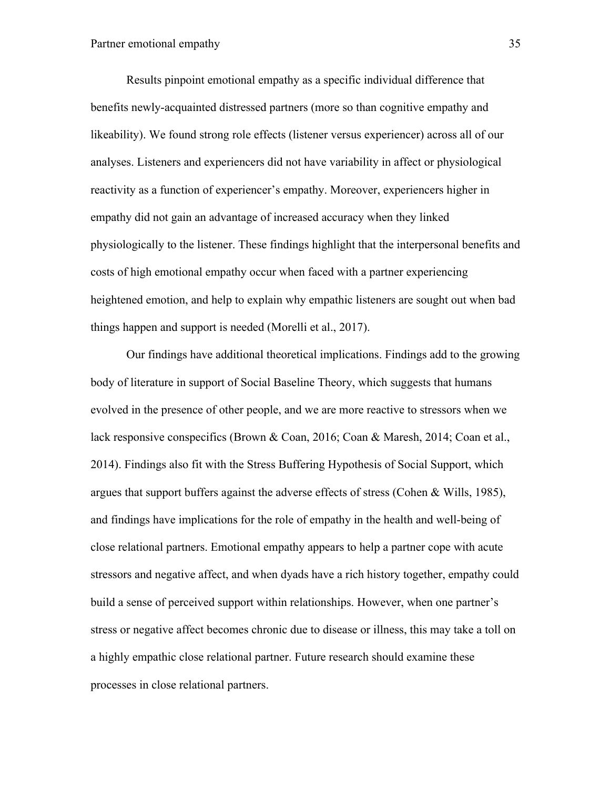Results pinpoint emotional empathy as a specific individual difference that benefits newly-acquainted distressed partners (more so than cognitive empathy and likeability). We found strong role effects (listener versus experiencer) across all of our analyses. Listeners and experiencers did not have variability in affect or physiological reactivity as a function of experiencer's empathy. Moreover, experiencers higher in empathy did not gain an advantage of increased accuracy when they linked physiologically to the listener. These findings highlight that the interpersonal benefits and costs of high emotional empathy occur when faced with a partner experiencing heightened emotion, and help to explain why empathic listeners are sought out when bad things happen and support is needed (Morelli et al., 2017).

Our findings have additional theoretical implications. Findings add to the growing body of literature in support of Social Baseline Theory, which suggests that humans evolved in the presence of other people, and we are more reactive to stressors when we lack responsive conspecifics (Brown & Coan, 2016; Coan & Maresh, 2014; Coan et al., 2014). Findings also fit with the Stress Buffering Hypothesis of Social Support, which argues that support buffers against the adverse effects of stress (Cohen & Wills, 1985), and findings have implications for the role of empathy in the health and well-being of close relational partners. Emotional empathy appears to help a partner cope with acute stressors and negative affect, and when dyads have a rich history together, empathy could build a sense of perceived support within relationships. However, when one partner's stress or negative affect becomes chronic due to disease or illness, this may take a toll on a highly empathic close relational partner. Future research should examine these processes in close relational partners.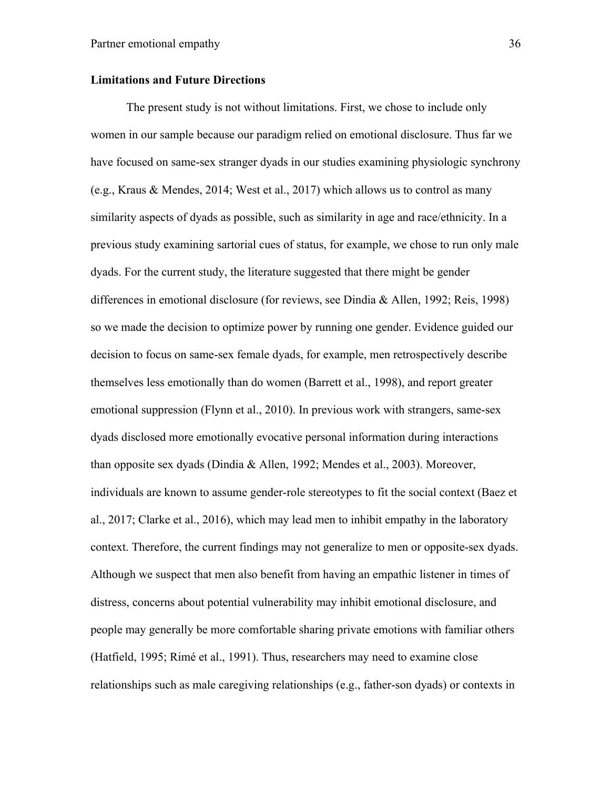#### **Limitations and Future Directions**

The present study is not without limitations. First, we chose to include only women in our sample because our paradigm relied on emotional disclosure. Thus far we have focused on same-sex stranger dyads in our studies examining physiologic synchrony (e.g., Kraus & Mendes, 2014; West et al., 2017) which allows us to control as many similarity aspects of dyads as possible, such as similarity in age and race/ethnicity. In a previous study examining sartorial cues of status, for example, we chose to run only male dyads. For the current study, the literature suggested that there might be gender differences in emotional disclosure (for reviews, see Dindia & Allen, 1992; Reis, 1998) so we made the decision to optimize power by running one gender. Evidence guided our decision to focus on same-sex female dyads, for example, men retrospectively describe themselves less emotionally than do women (Barrett et al., 1998), and report greater emotional suppression (Flynn et al., 2010). In previous work with strangers, same-sex dyads disclosed more emotionally evocative personal information during interactions than opposite sex dyads (Dindia & Allen, 1992; Mendes et al., 2003). Moreover, individuals are known to assume gender-role stereotypes to fit the social context (Baez et al., 2017; Clarke et al., 2016), which may lead men to inhibit empathy in the laboratory context. Therefore, the current findings may not generalize to men or opposite-sex dyads. Although we suspect that men also benefit from having an empathic listener in times of distress, concerns about potential vulnerability may inhibit emotional disclosure, and people may generally be more comfortable sharing private emotions with familiar others (Hatfield, 1995; Rimé et al., 1991). Thus, researchers may need to examine close relationships such as male caregiving relationships (e.g., father-son dyads) or contexts in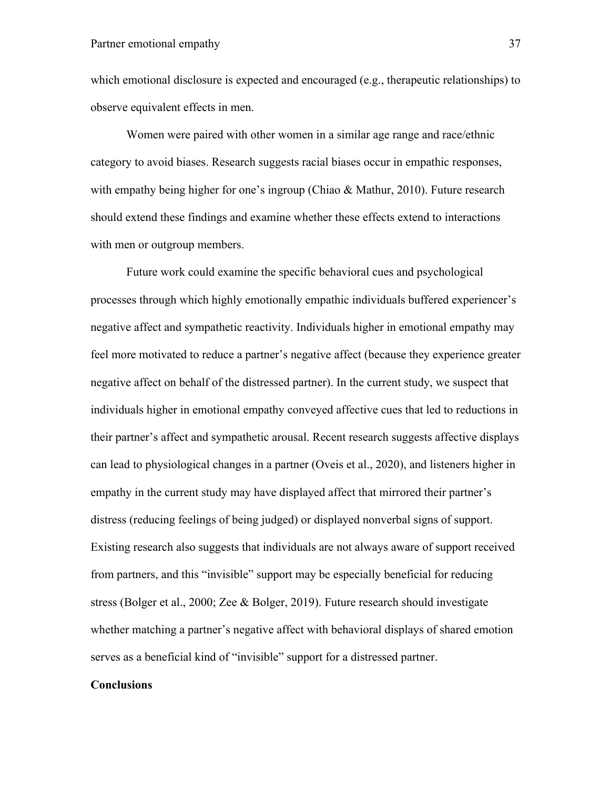which emotional disclosure is expected and encouraged (e.g., therapeutic relationships) to observe equivalent effects in men.

Women were paired with other women in a similar age range and race/ethnic category to avoid biases. Research suggests racial biases occur in empathic responses, with empathy being higher for one's ingroup (Chiao & Mathur, 2010). Future research should extend these findings and examine whether these effects extend to interactions with men or outgroup members.

Future work could examine the specific behavioral cues and psychological processes through which highly emotionally empathic individuals buffered experiencer's negative affect and sympathetic reactivity. Individuals higher in emotional empathy may feel more motivated to reduce a partner's negative affect (because they experience greater negative affect on behalf of the distressed partner). In the current study, we suspect that individuals higher in emotional empathy conveyed affective cues that led to reductions in their partner's affect and sympathetic arousal. Recent research suggests affective displays can lead to physiological changes in a partner (Oveis et al., 2020), and listeners higher in empathy in the current study may have displayed affect that mirrored their partner's distress (reducing feelings of being judged) or displayed nonverbal signs of support. Existing research also suggests that individuals are not always aware of support received from partners, and this "invisible" support may be especially beneficial for reducing stress (Bolger et al., 2000; Zee & Bolger, 2019). Future research should investigate whether matching a partner's negative affect with behavioral displays of shared emotion serves as a beneficial kind of "invisible" support for a distressed partner.

# **Conclusions**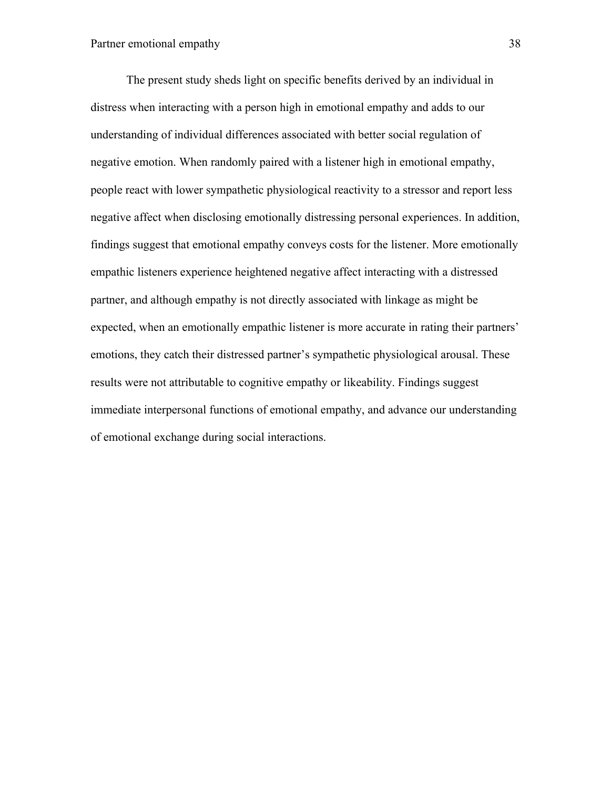The present study sheds light on specific benefits derived by an individual in distress when interacting with a person high in emotional empathy and adds to our understanding of individual differences associated with better social regulation of negative emotion. When randomly paired with a listener high in emotional empathy, people react with lower sympathetic physiological reactivity to a stressor and report less negative affect when disclosing emotionally distressing personal experiences. In addition, findings suggest that emotional empathy conveys costs for the listener. More emotionally empathic listeners experience heightened negative affect interacting with a distressed partner, and although empathy is not directly associated with linkage as might be expected, when an emotionally empathic listener is more accurate in rating their partners' emotions, they catch their distressed partner's sympathetic physiological arousal. These results were not attributable to cognitive empathy or likeability. Findings suggest immediate interpersonal functions of emotional empathy, and advance our understanding of emotional exchange during social interactions.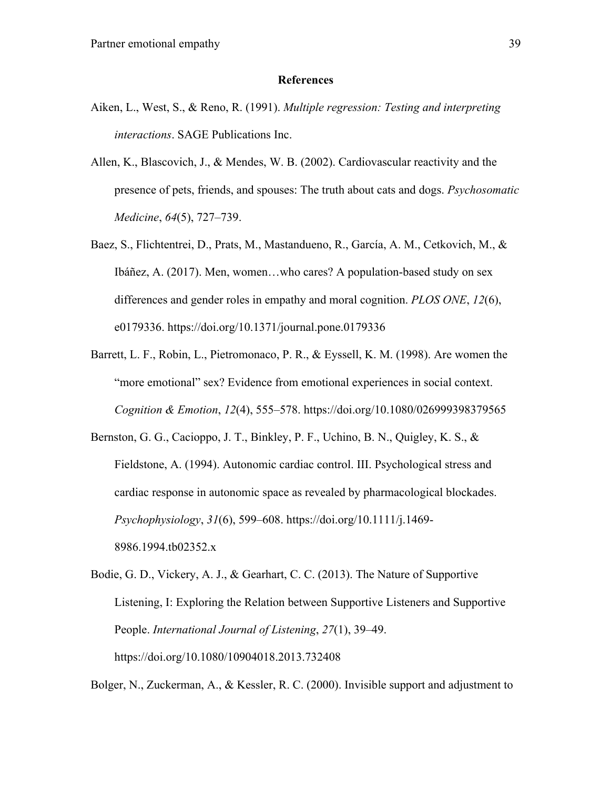#### **References**

- Aiken, L., West, S., & Reno, R. (1991). *Multiple regression: Testing and interpreting interactions*. SAGE Publications Inc.
- Allen, K., Blascovich, J., & Mendes, W. B. (2002). Cardiovascular reactivity and the presence of pets, friends, and spouses: The truth about cats and dogs. *Psychosomatic Medicine*, *64*(5), 727–739.
- Baez, S., Flichtentrei, D., Prats, M., Mastandueno, R., García, A. M., Cetkovich, M., & Ibáñez, A. (2017). Men, women…who cares? A population-based study on sex differences and gender roles in empathy and moral cognition. *PLOS ONE*, *12*(6), e0179336. https://doi.org/10.1371/journal.pone.0179336
- Barrett, L. F., Robin, L., Pietromonaco, P. R., & Eyssell, K. M. (1998). Are women the "more emotional" sex? Evidence from emotional experiences in social context. *Cognition & Emotion*, *12*(4), 555–578. https://doi.org/10.1080/026999398379565
- Bernston, G. G., Cacioppo, J. T., Binkley, P. F., Uchino, B. N., Quigley, K. S., & Fieldstone, A. (1994). Autonomic cardiac control. III. Psychological stress and cardiac response in autonomic space as revealed by pharmacological blockades. *Psychophysiology*, *31*(6), 599–608. https://doi.org/10.1111/j.1469- 8986.1994.tb02352.x
- Bodie, G. D., Vickery, A. J., & Gearhart, C. C. (2013). The Nature of Supportive Listening, I: Exploring the Relation between Supportive Listeners and Supportive People. *International Journal of Listening*, *27*(1), 39–49. https://doi.org/10.1080/10904018.2013.732408

Bolger, N., Zuckerman, A., & Kessler, R. C. (2000). Invisible support and adjustment to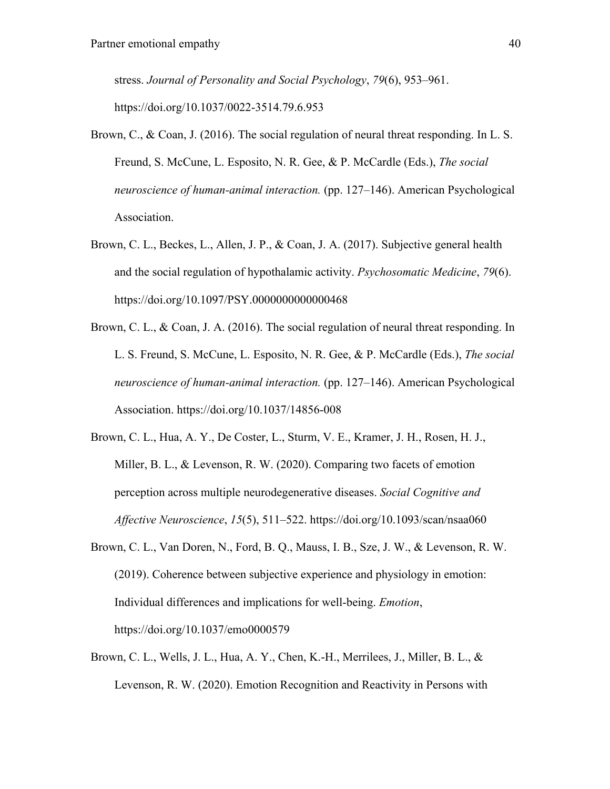stress. *Journal of Personality and Social Psychology*, *79*(6), 953–961. https://doi.org/10.1037/0022-3514.79.6.953

- Brown, C., & Coan, J. (2016). The social regulation of neural threat responding. In L. S. Freund, S. McCune, L. Esposito, N. R. Gee, & P. McCardle (Eds.), *The social neuroscience of human-animal interaction.* (pp. 127–146). American Psychological Association.
- Brown, C. L., Beckes, L., Allen, J. P., & Coan, J. A. (2017). Subjective general health and the social regulation of hypothalamic activity. *Psychosomatic Medicine*, *79*(6). https://doi.org/10.1097/PSY.0000000000000468
- Brown, C. L., & Coan, J. A. (2016). The social regulation of neural threat responding. In L. S. Freund, S. McCune, L. Esposito, N. R. Gee, & P. McCardle (Eds.), *The social neuroscience of human-animal interaction.* (pp. 127–146). American Psychological Association. https://doi.org/10.1037/14856-008
- Brown, C. L., Hua, A. Y., De Coster, L., Sturm, V. E., Kramer, J. H., Rosen, H. J., Miller, B. L., & Levenson, R. W. (2020). Comparing two facets of emotion perception across multiple neurodegenerative diseases. *Social Cognitive and Affective Neuroscience*, *15*(5), 511–522. https://doi.org/10.1093/scan/nsaa060
- Brown, C. L., Van Doren, N., Ford, B. Q., Mauss, I. B., Sze, J. W., & Levenson, R. W. (2019). Coherence between subjective experience and physiology in emotion: Individual differences and implications for well-being. *Emotion*, https://doi.org/10.1037/emo0000579
- Brown, C. L., Wells, J. L., Hua, A. Y., Chen, K.-H., Merrilees, J., Miller, B. L., & Levenson, R. W. (2020). Emotion Recognition and Reactivity in Persons with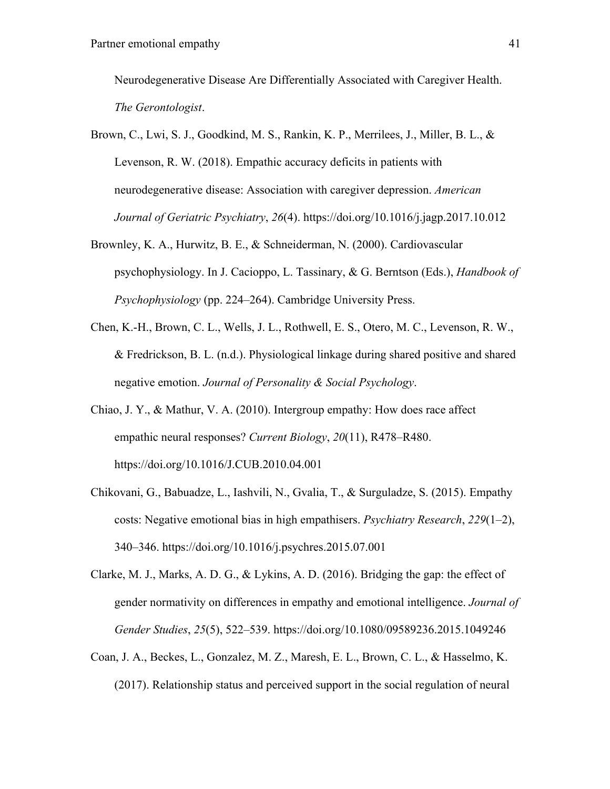Neurodegenerative Disease Are Differentially Associated with Caregiver Health. *The Gerontologist*.

- Brown, C., Lwi, S. J., Goodkind, M. S., Rankin, K. P., Merrilees, J., Miller, B. L., & Levenson, R. W. (2018). Empathic accuracy deficits in patients with neurodegenerative disease: Association with caregiver depression. *American Journal of Geriatric Psychiatry*, *26*(4). https://doi.org/10.1016/j.jagp.2017.10.012
- Brownley, K. A., Hurwitz, B. E., & Schneiderman, N. (2000). Cardiovascular psychophysiology. In J. Cacioppo, L. Tassinary, & G. Berntson (Eds.), *Handbook of Psychophysiology* (pp. 224–264). Cambridge University Press.
- Chen, K.-H., Brown, C. L., Wells, J. L., Rothwell, E. S., Otero, M. C., Levenson, R. W., & Fredrickson, B. L. (n.d.). Physiological linkage during shared positive and shared negative emotion. *Journal of Personality & Social Psychology*.
- Chiao, J. Y., & Mathur, V. A. (2010). Intergroup empathy: How does race affect empathic neural responses? *Current Biology*, *20*(11), R478–R480. https://doi.org/10.1016/J.CUB.2010.04.001
- Chikovani, G., Babuadze, L., Iashvili, N., Gvalia, T., & Surguladze, S. (2015). Empathy costs: Negative emotional bias in high empathisers. *Psychiatry Research*, *229*(1–2), 340–346. https://doi.org/10.1016/j.psychres.2015.07.001
- Clarke, M. J., Marks, A. D. G., & Lykins, A. D. (2016). Bridging the gap: the effect of gender normativity on differences in empathy and emotional intelligence. *Journal of Gender Studies*, *25*(5), 522–539. https://doi.org/10.1080/09589236.2015.1049246
- Coan, J. A., Beckes, L., Gonzalez, M. Z., Maresh, E. L., Brown, C. L., & Hasselmo, K. (2017). Relationship status and perceived support in the social regulation of neural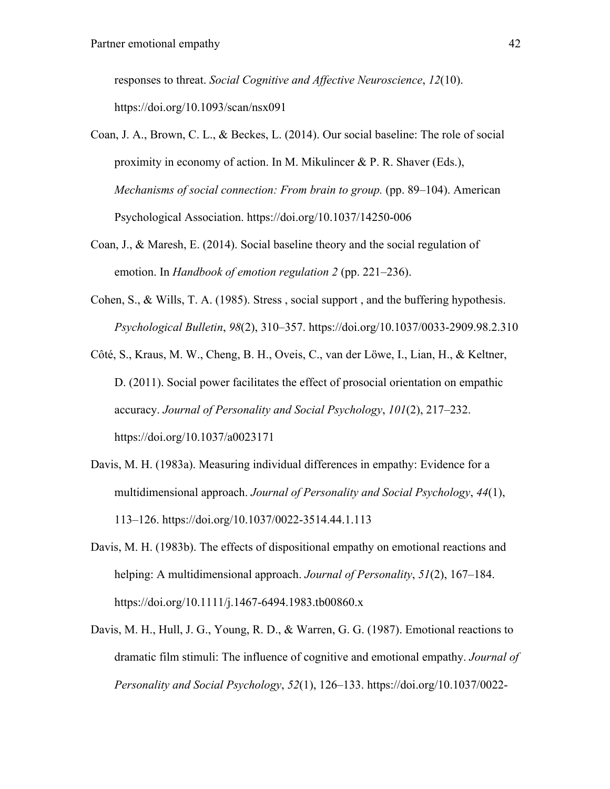responses to threat. *Social Cognitive and Affective Neuroscience*, *12*(10). https://doi.org/10.1093/scan/nsx091

- Coan, J. A., Brown, C. L., & Beckes, L. (2014). Our social baseline: The role of social proximity in economy of action. In M. Mikulincer & P. R. Shaver (Eds.), *Mechanisms of social connection: From brain to group.* (pp. 89–104). American Psychological Association. https://doi.org/10.1037/14250-006
- Coan, J., & Maresh, E. (2014). Social baseline theory and the social regulation of emotion. In *Handbook of emotion regulation 2* (pp. 221–236).
- Cohen, S., & Wills, T. A. (1985). Stress , social support , and the buffering hypothesis. *Psychological Bulletin*, *98*(2), 310–357. https://doi.org/10.1037/0033-2909.98.2.310
- Côté, S., Kraus, M. W., Cheng, B. H., Oveis, C., van der Löwe, I., Lian, H., & Keltner, D. (2011). Social power facilitates the effect of prosocial orientation on empathic accuracy. *Journal of Personality and Social Psychology*, *101*(2), 217–232. https://doi.org/10.1037/a0023171
- Davis, M. H. (1983a). Measuring individual differences in empathy: Evidence for a multidimensional approach. *Journal of Personality and Social Psychology*, *44*(1), 113–126. https://doi.org/10.1037/0022-3514.44.1.113
- Davis, M. H. (1983b). The effects of dispositional empathy on emotional reactions and helping: A multidimensional approach. *Journal of Personality*, *51*(2), 167–184. https://doi.org/10.1111/j.1467-6494.1983.tb00860.x
- Davis, M. H., Hull, J. G., Young, R. D., & Warren, G. G. (1987). Emotional reactions to dramatic film stimuli: The influence of cognitive and emotional empathy. *Journal of Personality and Social Psychology*, *52*(1), 126–133. https://doi.org/10.1037/0022-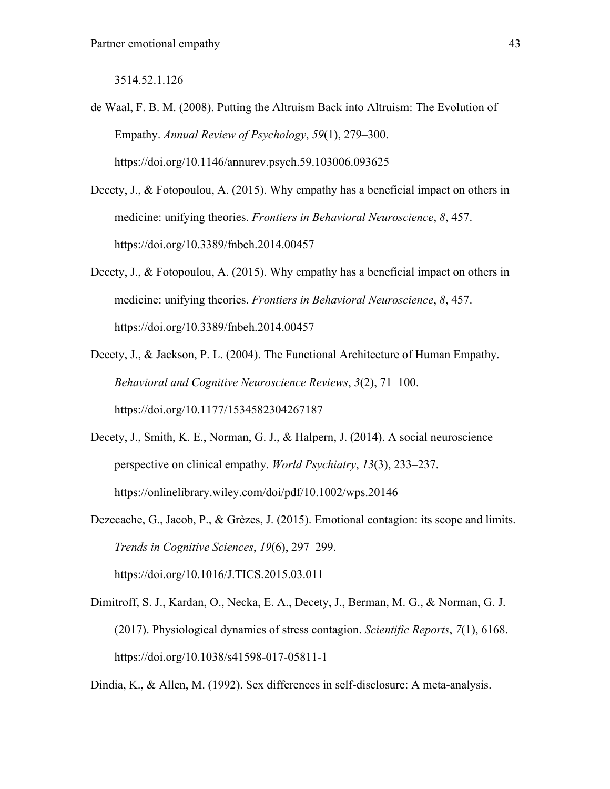3514.52.1.126

- de Waal, F. B. M. (2008). Putting the Altruism Back into Altruism: The Evolution of Empathy. *Annual Review of Psychology*, *59*(1), 279–300. https://doi.org/10.1146/annurev.psych.59.103006.093625
- Decety, J., & Fotopoulou, A. (2015). Why empathy has a beneficial impact on others in medicine: unifying theories. *Frontiers in Behavioral Neuroscience*, *8*, 457. https://doi.org/10.3389/fnbeh.2014.00457
- Decety, J., & Fotopoulou, A. (2015). Why empathy has a beneficial impact on others in medicine: unifying theories. *Frontiers in Behavioral Neuroscience*, *8*, 457. https://doi.org/10.3389/fnbeh.2014.00457
- Decety, J., & Jackson, P. L. (2004). The Functional Architecture of Human Empathy. *Behavioral and Cognitive Neuroscience Reviews*, *3*(2), 71–100. https://doi.org/10.1177/1534582304267187
- Decety, J., Smith, K. E., Norman, G. J., & Halpern, J. (2014). A social neuroscience perspective on clinical empathy. *World Psychiatry*, *13*(3), 233–237. https://onlinelibrary.wiley.com/doi/pdf/10.1002/wps.20146
- Dezecache, G., Jacob, P., & Grèzes, J. (2015). Emotional contagion: its scope and limits. *Trends in Cognitive Sciences*, *19*(6), 297–299. https://doi.org/10.1016/J.TICS.2015.03.011
- Dimitroff, S. J., Kardan, O., Necka, E. A., Decety, J., Berman, M. G., & Norman, G. J. (2017). Physiological dynamics of stress contagion. *Scientific Reports*, *7*(1), 6168. https://doi.org/10.1038/s41598-017-05811-1

Dindia, K., & Allen, M. (1992). Sex differences in self-disclosure: A meta-analysis.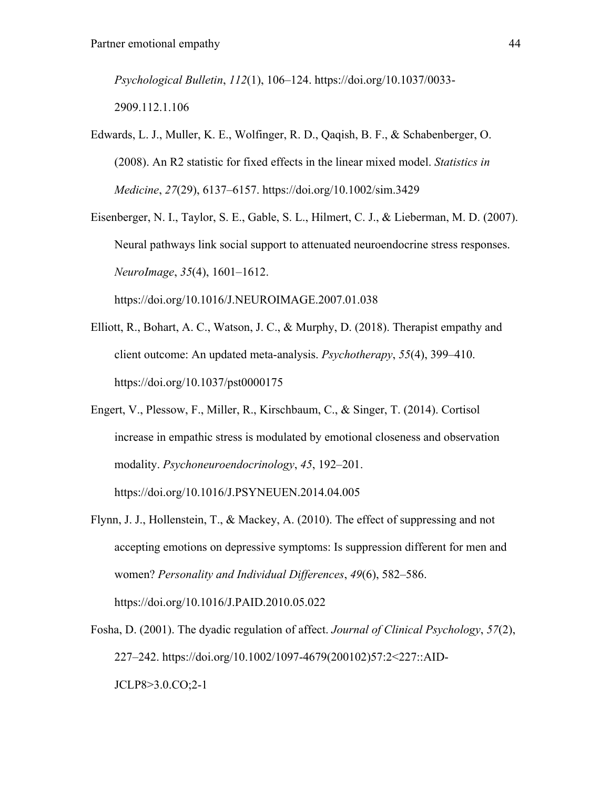*Psychological Bulletin*, *112*(1), 106–124. https://doi.org/10.1037/0033- 2909.112.1.106

- Edwards, L. J., Muller, K. E., Wolfinger, R. D., Qaqish, B. F., & Schabenberger, O. (2008). An R2 statistic for fixed effects in the linear mixed model. *Statistics in Medicine*, *27*(29), 6137–6157. https://doi.org/10.1002/sim.3429
- Eisenberger, N. I., Taylor, S. E., Gable, S. L., Hilmert, C. J., & Lieberman, M. D. (2007). Neural pathways link social support to attenuated neuroendocrine stress responses. *NeuroImage*, *35*(4), 1601–1612. https://doi.org/10.1016/J.NEUROIMAGE.2007.01.038
- Elliott, R., Bohart, A. C., Watson, J. C., & Murphy, D. (2018). Therapist empathy and client outcome: An updated meta-analysis. *Psychotherapy*, *55*(4), 399–410.

https://doi.org/10.1037/pst0000175

- Engert, V., Plessow, F., Miller, R., Kirschbaum, C., & Singer, T. (2014). Cortisol increase in empathic stress is modulated by emotional closeness and observation modality. *Psychoneuroendocrinology*, *45*, 192–201. https://doi.org/10.1016/J.PSYNEUEN.2014.04.005
- Flynn, J. J., Hollenstein, T., & Mackey, A. (2010). The effect of suppressing and not accepting emotions on depressive symptoms: Is suppression different for men and women? *Personality and Individual Differences*, *49*(6), 582–586. https://doi.org/10.1016/J.PAID.2010.05.022
- Fosha, D. (2001). The dyadic regulation of affect. *Journal of Clinical Psychology*, *57*(2), 227–242. https://doi.org/10.1002/1097-4679(200102)57:2<227::AID-JCLP8>3.0.CO;2-1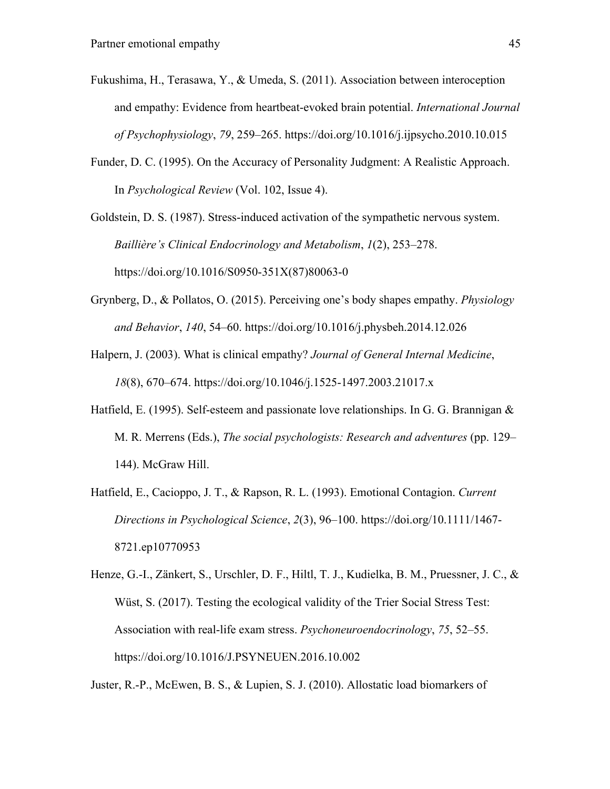- Fukushima, H., Terasawa, Y., & Umeda, S. (2011). Association between interoception and empathy: Evidence from heartbeat-evoked brain potential. *International Journal of Psychophysiology*, *79*, 259–265. https://doi.org/10.1016/j.ijpsycho.2010.10.015
- Funder, D. C. (1995). On the Accuracy of Personality Judgment: A Realistic Approach. In *Psychological Review* (Vol. 102, Issue 4).

Goldstein, D. S. (1987). Stress-induced activation of the sympathetic nervous system. *Baillière's Clinical Endocrinology and Metabolism*, *1*(2), 253–278. https://doi.org/10.1016/S0950-351X(87)80063-0

- Grynberg, D., & Pollatos, O. (2015). Perceiving one's body shapes empathy. *Physiology and Behavior*, *140*, 54–60. https://doi.org/10.1016/j.physbeh.2014.12.026
- Halpern, J. (2003). What is clinical empathy? *Journal of General Internal Medicine*, *18*(8), 670–674. https://doi.org/10.1046/j.1525-1497.2003.21017.x
- Hatfield, E. (1995). Self-esteem and passionate love relationships. In G. G. Brannigan & M. R. Merrens (Eds.), *The social psychologists: Research and adventures* (pp. 129– 144). McGraw Hill.
- Hatfield, E., Cacioppo, J. T., & Rapson, R. L. (1993). Emotional Contagion. *Current Directions in Psychological Science*, *2*(3), 96–100. https://doi.org/10.1111/1467- 8721.ep10770953
- Henze, G.-I., Zänkert, S., Urschler, D. F., Hiltl, T. J., Kudielka, B. M., Pruessner, J. C., & Wüst, S. (2017). Testing the ecological validity of the Trier Social Stress Test: Association with real-life exam stress. *Psychoneuroendocrinology*, *75*, 52–55. https://doi.org/10.1016/J.PSYNEUEN.2016.10.002

Juster, R.-P., McEwen, B. S., & Lupien, S. J. (2010). Allostatic load biomarkers of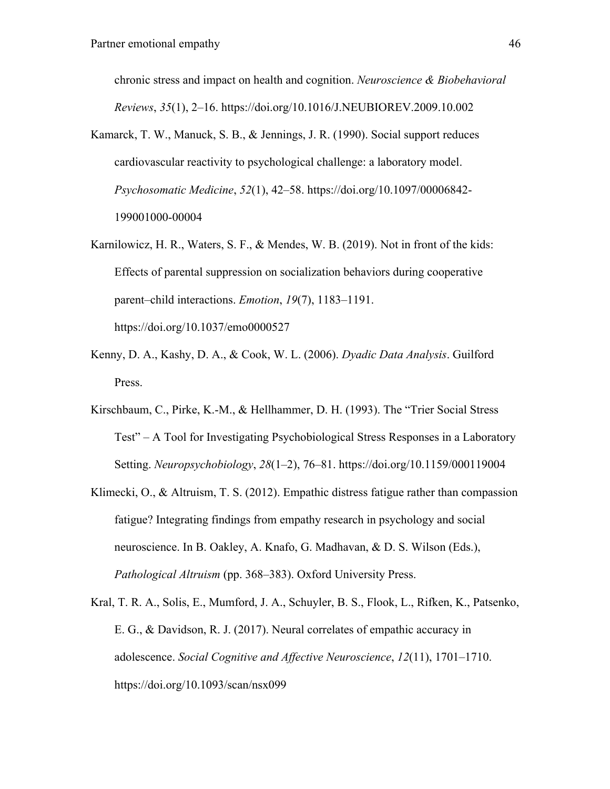chronic stress and impact on health and cognition. *Neuroscience & Biobehavioral Reviews*, *35*(1), 2–16. https://doi.org/10.1016/J.NEUBIOREV.2009.10.002

- Kamarck, T. W., Manuck, S. B., & Jennings, J. R. (1990). Social support reduces cardiovascular reactivity to psychological challenge: a laboratory model. *Psychosomatic Medicine*, *52*(1), 42–58. https://doi.org/10.1097/00006842- 199001000-00004
- Karnilowicz, H. R., Waters, S. F., & Mendes, W. B. (2019). Not in front of the kids: Effects of parental suppression on socialization behaviors during cooperative parent–child interactions. *Emotion*, *19*(7), 1183–1191. https://doi.org/10.1037/emo0000527
- Kenny, D. A., Kashy, D. A., & Cook, W. L. (2006). *Dyadic Data Analysis*. Guilford Press.
- Kirschbaum, C., Pirke, K.-M., & Hellhammer, D. H. (1993). The "Trier Social Stress Test" – A Tool for Investigating Psychobiological Stress Responses in a Laboratory Setting. *Neuropsychobiology*, *28*(1–2), 76–81. https://doi.org/10.1159/000119004
- Klimecki, O., & Altruism, T. S. (2012). Empathic distress fatigue rather than compassion fatigue? Integrating findings from empathy research in psychology and social neuroscience. In B. Oakley, A. Knafo, G. Madhavan, & D. S. Wilson (Eds.), *Pathological Altruism* (pp. 368–383). Oxford University Press.
- Kral, T. R. A., Solis, E., Mumford, J. A., Schuyler, B. S., Flook, L., Rifken, K., Patsenko, E. G., & Davidson, R. J. (2017). Neural correlates of empathic accuracy in adolescence. *Social Cognitive and Affective Neuroscience*, *12*(11), 1701–1710. https://doi.org/10.1093/scan/nsx099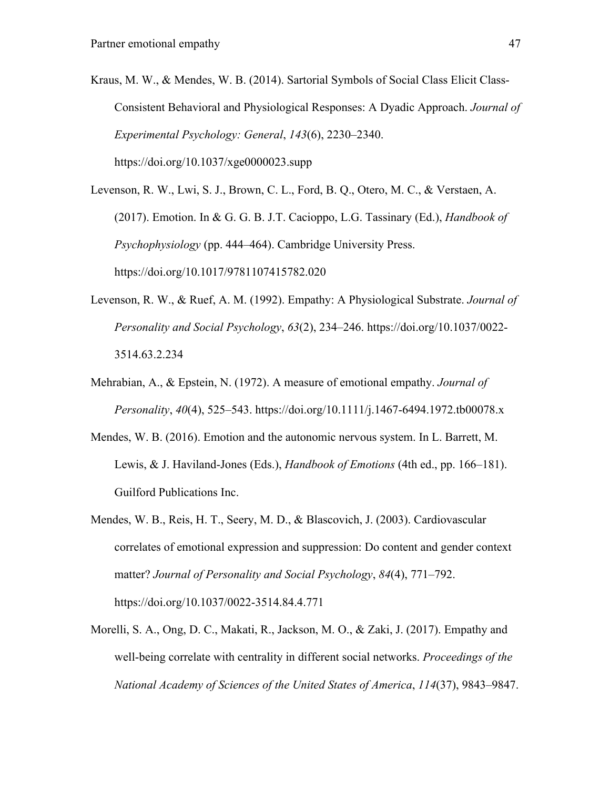Kraus, M. W., & Mendes, W. B. (2014). Sartorial Symbols of Social Class Elicit Class-Consistent Behavioral and Physiological Responses: A Dyadic Approach. *Journal of Experimental Psychology: General*, *143*(6), 2230–2340.

https://doi.org/10.1037/xge0000023.supp

Levenson, R. W., Lwi, S. J., Brown, C. L., Ford, B. Q., Otero, M. C., & Verstaen, A. (2017). Emotion. In & G. G. B. J.T. Cacioppo, L.G. Tassinary (Ed.), *Handbook of Psychophysiology* (pp. 444–464). Cambridge University Press. https://doi.org/10.1017/9781107415782.020

- Levenson, R. W., & Ruef, A. M. (1992). Empathy: A Physiological Substrate. *Journal of Personality and Social Psychology*, *63*(2), 234–246. https://doi.org/10.1037/0022- 3514.63.2.234
- Mehrabian, A., & Epstein, N. (1972). A measure of emotional empathy. *Journal of Personality*, *40*(4), 525–543. https://doi.org/10.1111/j.1467-6494.1972.tb00078.x
- Mendes, W. B. (2016). Emotion and the autonomic nervous system. In L. Barrett, M. Lewis, & J. Haviland-Jones (Eds.), *Handbook of Emotions* (4th ed., pp. 166–181). Guilford Publications Inc.
- Mendes, W. B., Reis, H. T., Seery, M. D., & Blascovich, J. (2003). Cardiovascular correlates of emotional expression and suppression: Do content and gender context matter? *Journal of Personality and Social Psychology*, *84*(4), 771–792. https://doi.org/10.1037/0022-3514.84.4.771
- Morelli, S. A., Ong, D. C., Makati, R., Jackson, M. O., & Zaki, J. (2017). Empathy and well-being correlate with centrality in different social networks. *Proceedings of the National Academy of Sciences of the United States of America*, *114*(37), 9843–9847.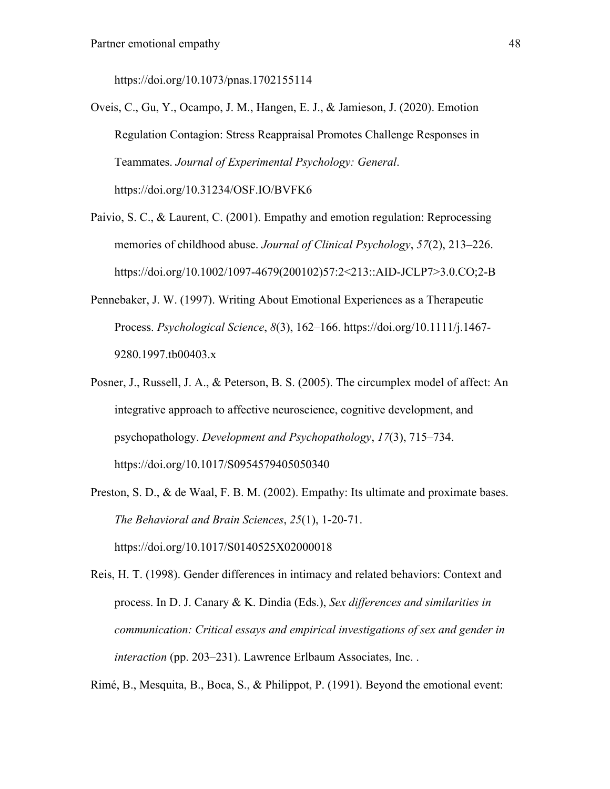https://doi.org/10.1073/pnas.1702155114

- Oveis, C., Gu, Y., Ocampo, J. M., Hangen, E. J., & Jamieson, J. (2020). Emotion Regulation Contagion: Stress Reappraisal Promotes Challenge Responses in Teammates. *Journal of Experimental Psychology: General*. https://doi.org/10.31234/OSF.IO/BVFK6
- Paivio, S. C., & Laurent, C. (2001). Empathy and emotion regulation: Reprocessing memories of childhood abuse. *Journal of Clinical Psychology*, *57*(2), 213–226. https://doi.org/10.1002/1097-4679(200102)57:2<213::AID-JCLP7>3.0.CO;2-B
- Pennebaker, J. W. (1997). Writing About Emotional Experiences as a Therapeutic Process. *Psychological Science*, *8*(3), 162–166. https://doi.org/10.1111/j.1467- 9280.1997.tb00403.x
- Posner, J., Russell, J. A., & Peterson, B. S. (2005). The circumplex model of affect: An integrative approach to affective neuroscience, cognitive development, and psychopathology. *Development and Psychopathology*, *17*(3), 715–734. https://doi.org/10.1017/S0954579405050340
- Preston, S. D., & de Waal, F. B. M. (2002). Empathy: Its ultimate and proximate bases. *The Behavioral and Brain Sciences*, *25*(1), 1-20-71. https://doi.org/10.1017/S0140525X02000018

Reis, H. T. (1998). Gender differences in intimacy and related behaviors: Context and process. In D. J. Canary & K. Dindia (Eds.), *Sex differences and similarities in communication: Critical essays and empirical investigations of sex and gender in interaction* (pp. 203–231). Lawrence Erlbaum Associates, Inc. .

Rimé, B., Mesquita, B., Boca, S., & Philippot, P. (1991). Beyond the emotional event: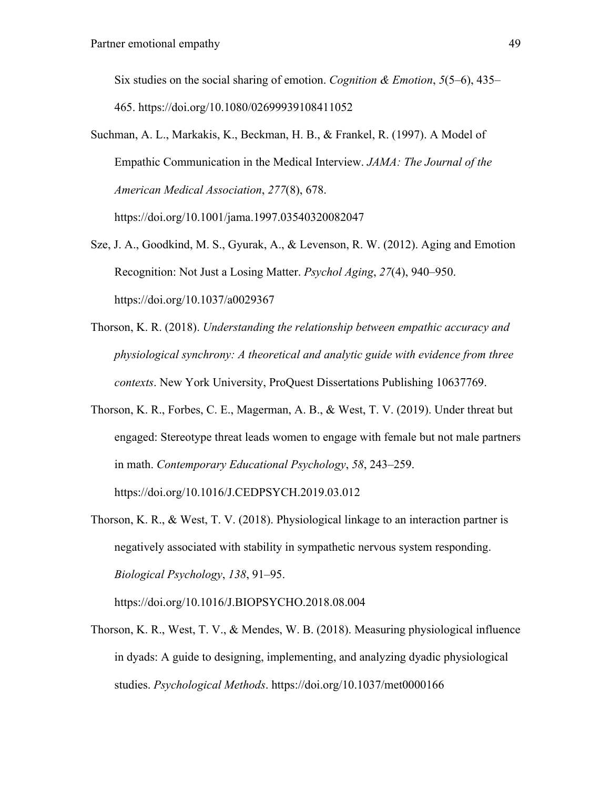Six studies on the social sharing of emotion. *Cognition & Emotion*, *5*(5–6), 435– 465. https://doi.org/10.1080/02699939108411052

Suchman, A. L., Markakis, K., Beckman, H. B., & Frankel, R. (1997). A Model of Empathic Communication in the Medical Interview. *JAMA: The Journal of the American Medical Association*, *277*(8), 678. https://doi.org/10.1001/jama.1997.03540320082047

Sze, J. A., Goodkind, M. S., Gyurak, A., & Levenson, R. W. (2012). Aging and Emotion Recognition: Not Just a Losing Matter. *Psychol Aging*, *27*(4), 940–950.

https://doi.org/10.1037/a0029367

- Thorson, K. R. (2018). *Understanding the relationship between empathic accuracy and physiological synchrony: A theoretical and analytic guide with evidence from three contexts*. New York University, ProQuest Dissertations Publishing 10637769.
- Thorson, K. R., Forbes, C. E., Magerman, A. B., & West, T. V. (2019). Under threat but engaged: Stereotype threat leads women to engage with female but not male partners in math. *Contemporary Educational Psychology*, *58*, 243–259. https://doi.org/10.1016/J.CEDPSYCH.2019.03.012
- Thorson, K. R., & West, T. V. (2018). Physiological linkage to an interaction partner is negatively associated with stability in sympathetic nervous system responding. *Biological Psychology*, *138*, 91–95.

https://doi.org/10.1016/J.BIOPSYCHO.2018.08.004

Thorson, K. R., West, T. V., & Mendes, W. B. (2018). Measuring physiological influence in dyads: A guide to designing, implementing, and analyzing dyadic physiological studies. *Psychological Methods*. https://doi.org/10.1037/met0000166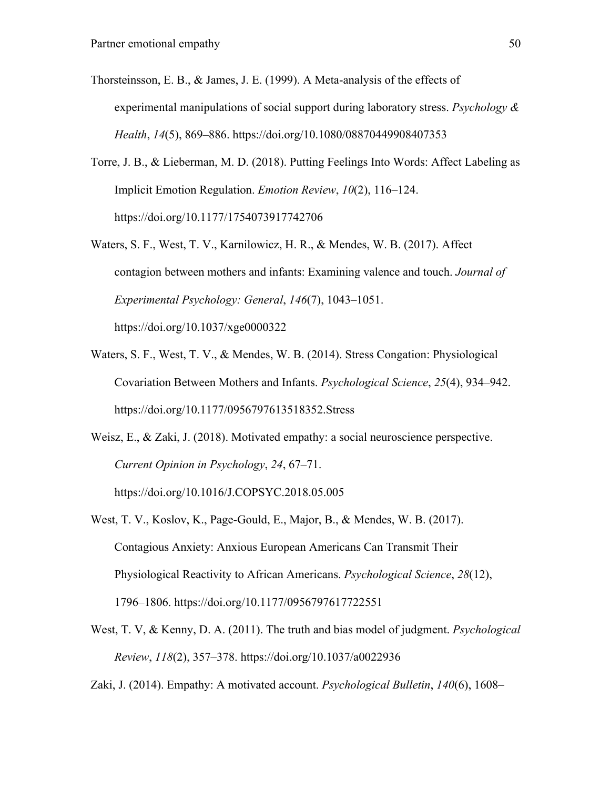- Thorsteinsson, E. B., & James, J. E. (1999). A Meta-analysis of the effects of experimental manipulations of social support during laboratory stress. *Psychology & Health*, *14*(5), 869–886. https://doi.org/10.1080/08870449908407353
- Torre, J. B., & Lieberman, M. D. (2018). Putting Feelings Into Words: Affect Labeling as Implicit Emotion Regulation. *Emotion Review*, *10*(2), 116–124. https://doi.org/10.1177/1754073917742706
- Waters, S. F., West, T. V., Karnilowicz, H. R., & Mendes, W. B. (2017). Affect contagion between mothers and infants: Examining valence and touch. *Journal of Experimental Psychology: General*, *146*(7), 1043–1051. https://doi.org/10.1037/xge0000322
- Waters, S. F., West, T. V., & Mendes, W. B. (2014). Stress Congation: Physiological Covariation Between Mothers and Infants. *Psychological Science*, *25*(4), 934–942. https://doi.org/10.1177/0956797613518352.Stress
- Weisz, E., & Zaki, J. (2018). Motivated empathy: a social neuroscience perspective. *Current Opinion in Psychology*, *24*, 67–71.

https://doi.org/10.1016/J.COPSYC.2018.05.005

- West, T. V., Koslov, K., Page-Gould, E., Major, B., & Mendes, W. B. (2017). Contagious Anxiety: Anxious European Americans Can Transmit Their Physiological Reactivity to African Americans. *Psychological Science*, *28*(12), 1796–1806. https://doi.org/10.1177/0956797617722551
- West, T. V, & Kenny, D. A. (2011). The truth and bias model of judgment. *Psychological Review*, *118*(2), 357–378. https://doi.org/10.1037/a0022936

Zaki, J. (2014). Empathy: A motivated account. *Psychological Bulletin*, *140*(6), 1608–